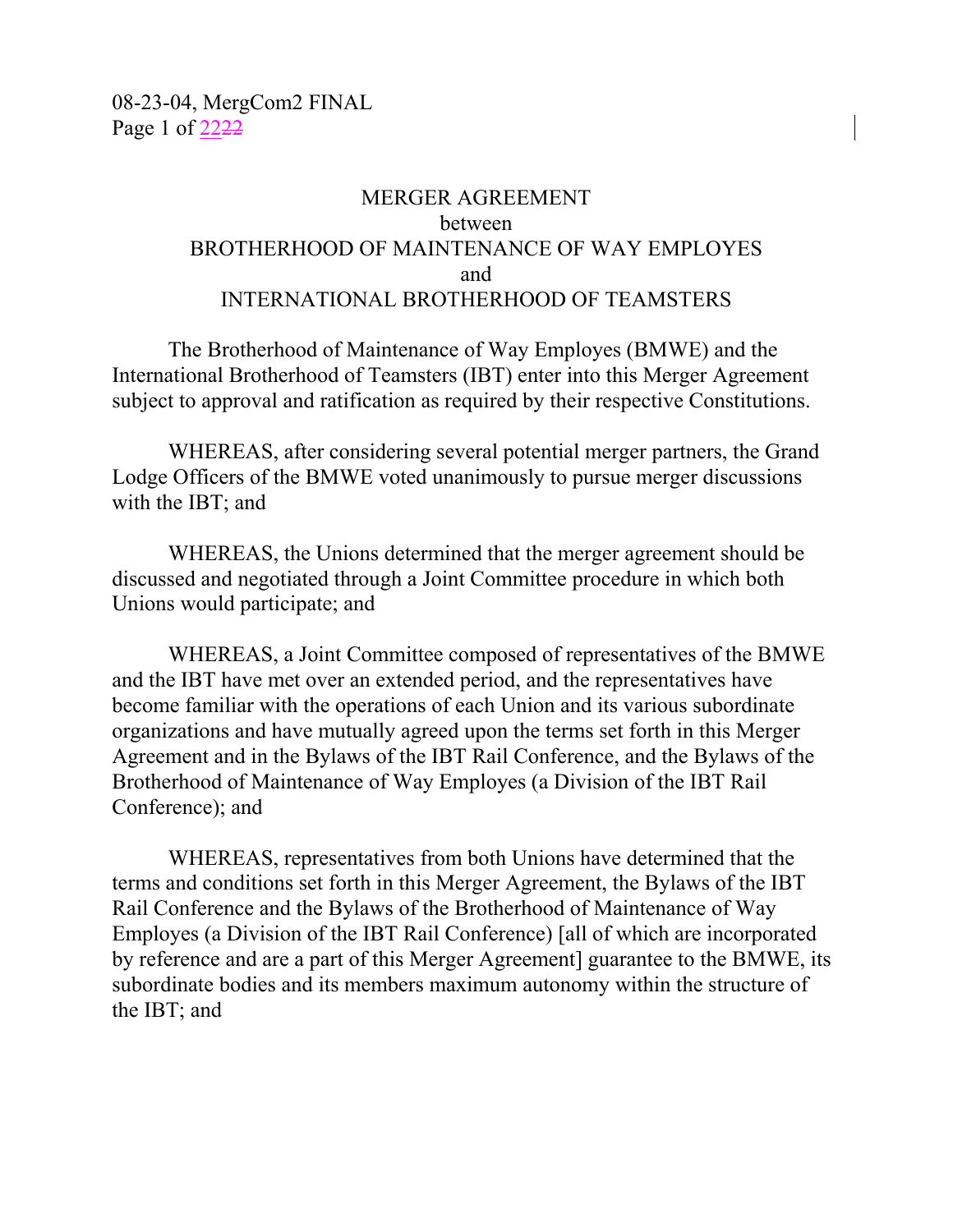### MERGER AGREEMENT between BROTHERHOOD OF MAINTENANCE OF WAY EMPLOYES and INTERNATIONAL BROTHERHOOD OF TEAMSTERS

The Brotherhood of Maintenance of Way Employes (BMWE) and the International Brotherhood of Teamsters (IBT) enter into this Merger Agreement subject to approval and ratification as required by their respective Constitutions.

WHEREAS, after considering several potential merger partners, the Grand Lodge Officers of the BMWE voted unanimously to pursue merger discussions with the IBT; and

WHEREAS, the Unions determined that the merger agreement should be discussed and negotiated through a Joint Committee procedure in which both Unions would participate; and

WHEREAS, a Joint Committee composed of representatives of the BMWE and the IBT have met over an extended period, and the representatives have become familiar with the operations of each Union and its various subordinate organizations and have mutually agreed upon the terms set forth in this Merger Agreement and in the Bylaws of the IBT Rail Conference, and the Bylaws of the Brotherhood of Maintenance of Way Employes (a Division of the IBT Rail Conference); and

WHEREAS, representatives from both Unions have determined that the terms and conditions set forth in this Merger Agreement, the Bylaws of the IBT Rail Conference and the Bylaws of the Brotherhood of Maintenance of Way Employes (a Division of the IBT Rail Conference) [all of which are incorporated by reference and are a part of this Merger Agreement] guarantee to the BMWE, its subordinate bodies and its members maximum autonomy within the structure of the IBT; and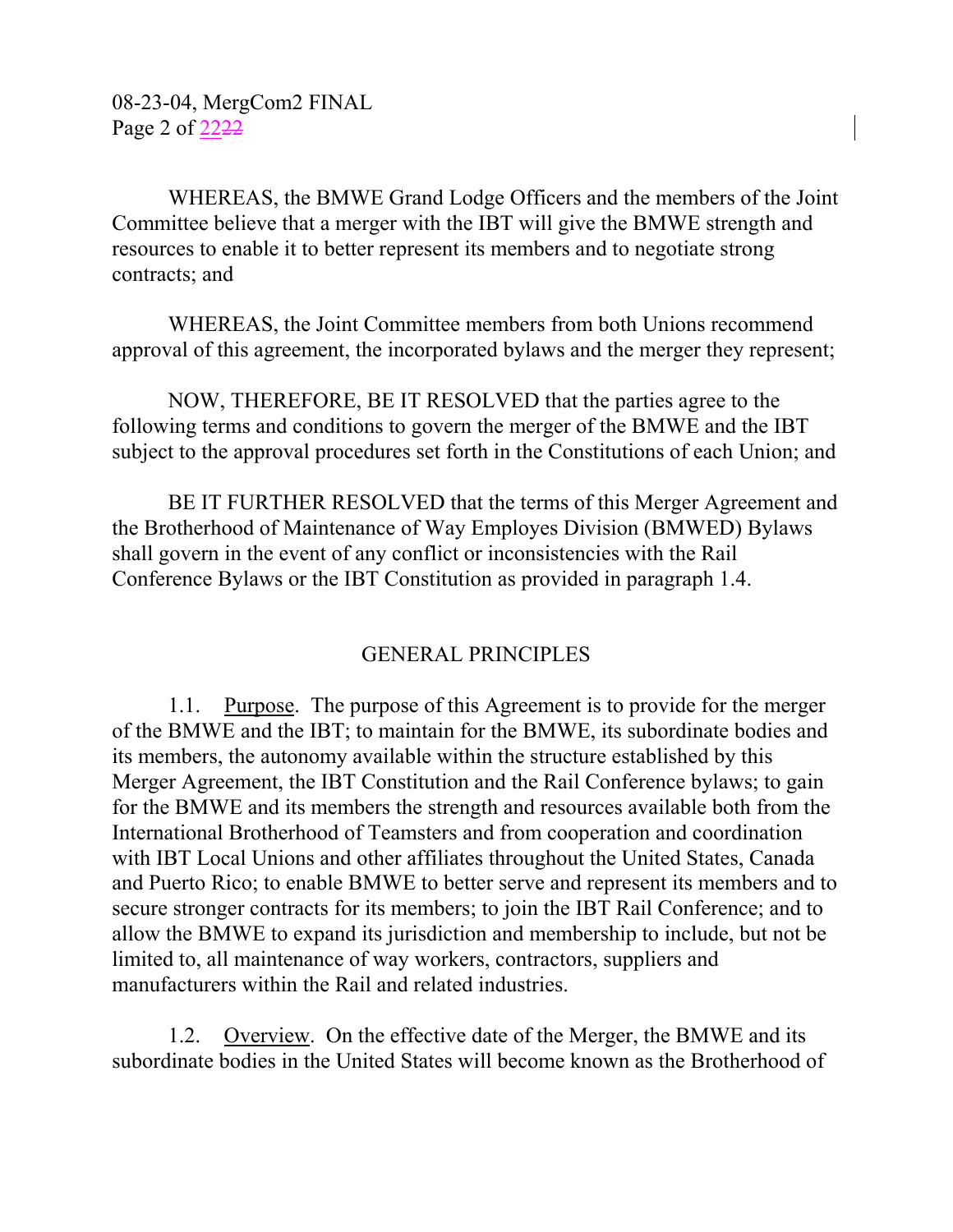WHEREAS, the BMWE Grand Lodge Officers and the members of the Joint Committee believe that a merger with the IBT will give the BMWE strength and resources to enable it to better represent its members and to negotiate strong contracts; and

WHEREAS, the Joint Committee members from both Unions recommend approval of this agreement, the incorporated bylaws and the merger they represent;

NOW, THEREFORE, BE IT RESOLVED that the parties agree to the following terms and conditions to govern the merger of the BMWE and the IBT subject to the approval procedures set forth in the Constitutions of each Union; and

BE IT FURTHER RESOLVED that the terms of this Merger Agreement and the Brotherhood of Maintenance of Way Employes Division (BMWED) Bylaws shall govern in the event of any conflict or inconsistencies with the Rail Conference Bylaws or the IBT Constitution as provided in paragraph 1.4.

# GENERAL PRINCIPLES

1.1. Purpose. The purpose of this Agreement is to provide for the merger of the BMWE and the IBT; to maintain for the BMWE, its subordinate bodies and its members, the autonomy available within the structure established by this Merger Agreement, the IBT Constitution and the Rail Conference bylaws; to gain for the BMWE and its members the strength and resources available both from the International Brotherhood of Teamsters and from cooperation and coordination with IBT Local Unions and other affiliates throughout the United States, Canada and Puerto Rico; to enable BMWE to better serve and represent its members and to secure stronger contracts for its members; to join the IBT Rail Conference; and to allow the BMWE to expand its jurisdiction and membership to include, but not be limited to, all maintenance of way workers, contractors, suppliers and manufacturers within the Rail and related industries.

1.2. Overview. On the effective date of the Merger, the BMWE and its subordinate bodies in the United States will become known as the Brotherhood of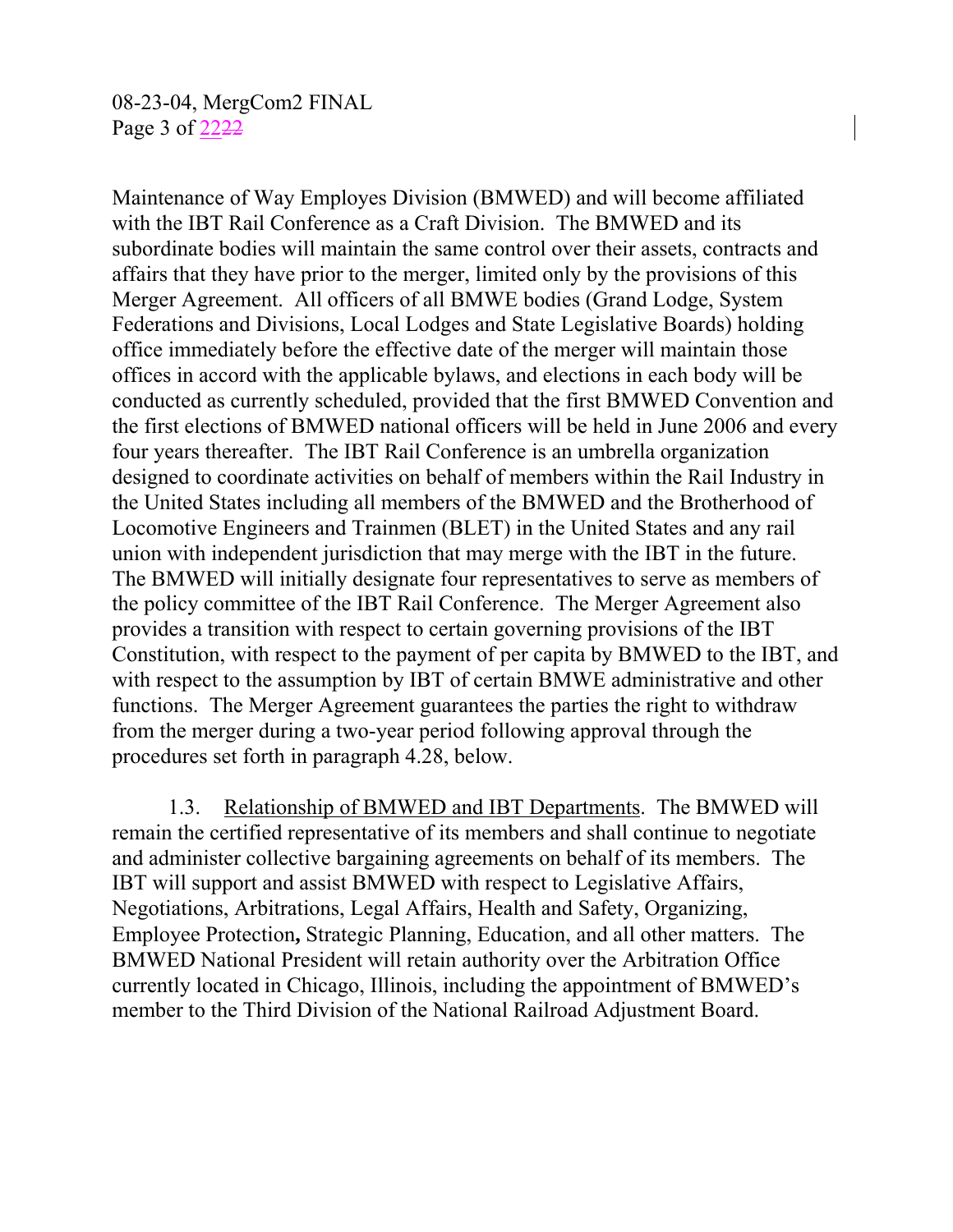Maintenance of Way Employes Division (BMWED) and will become affiliated with the IBT Rail Conference as a Craft Division. The BMWED and its subordinate bodies will maintain the same control over their assets, contracts and affairs that they have prior to the merger, limited only by the provisions of this Merger Agreement. All officers of all BMWE bodies (Grand Lodge, System Federations and Divisions, Local Lodges and State Legislative Boards) holding office immediately before the effective date of the merger will maintain those offices in accord with the applicable bylaws, and elections in each body will be conducted as currently scheduled, provided that the first BMWED Convention and the first elections of BMWED national officers will be held in June 2006 and every four years thereafter. The IBT Rail Conference is an umbrella organization designed to coordinate activities on behalf of members within the Rail Industry in the United States including all members of the BMWED and the Brotherhood of Locomotive Engineers and Trainmen (BLET) in the United States and any rail union with independent jurisdiction that may merge with the IBT in the future. The BMWED will initially designate four representatives to serve as members of the policy committee of the IBT Rail Conference. The Merger Agreement also provides a transition with respect to certain governing provisions of the IBT Constitution, with respect to the payment of per capita by BMWED to the IBT, and with respect to the assumption by IBT of certain BMWE administrative and other functions. The Merger Agreement guarantees the parties the right to withdraw from the merger during a two-year period following approval through the procedures set forth in paragraph 4.28, below.

1.3. Relationship of BMWED and IBT Departments. The BMWED will remain the certified representative of its members and shall continue to negotiate and administer collective bargaining agreements on behalf of its members. The IBT will support and assist BMWED with respect to Legislative Affairs, Negotiations, Arbitrations, Legal Affairs, Health and Safety, Organizing, Employee Protection**,** Strategic Planning, Education, and all other matters. The BMWED National President will retain authority over the Arbitration Office currently located in Chicago, Illinois, including the appointment of BMWED's member to the Third Division of the National Railroad Adjustment Board.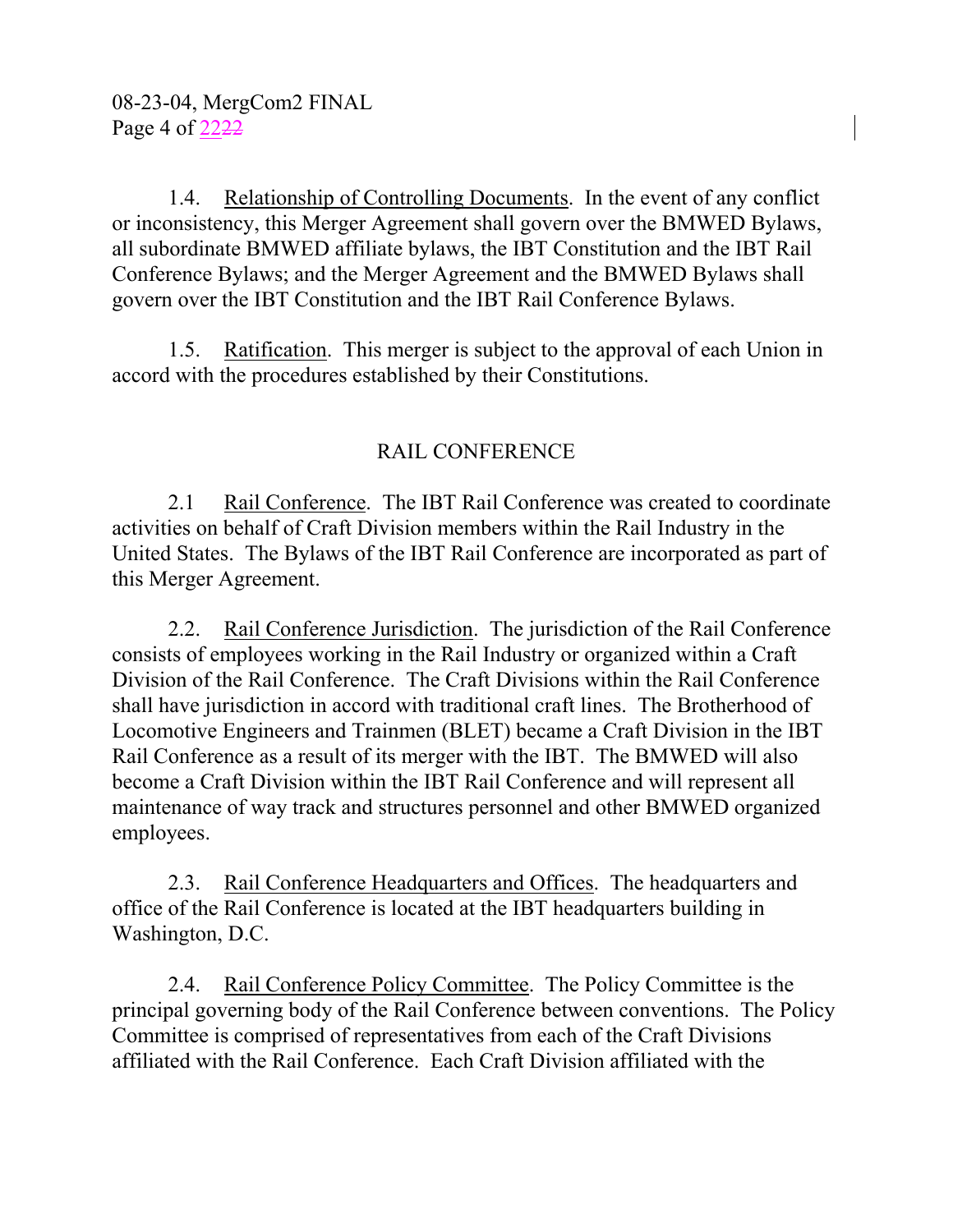1.4. Relationship of Controlling Documents. In the event of any conflict or inconsistency, this Merger Agreement shall govern over the BMWED Bylaws, all subordinate BMWED affiliate bylaws, the IBT Constitution and the IBT Rail Conference Bylaws; and the Merger Agreement and the BMWED Bylaws shall govern over the IBT Constitution and the IBT Rail Conference Bylaws.

1.5. Ratification. This merger is subject to the approval of each Union in accord with the procedures established by their Constitutions.

# RAIL CONFERENCE

2.1 Rail Conference. The IBT Rail Conference was created to coordinate activities on behalf of Craft Division members within the Rail Industry in the United States. The Bylaws of the IBT Rail Conference are incorporated as part of this Merger Agreement.

2.2. Rail Conference Jurisdiction. The jurisdiction of the Rail Conference consists of employees working in the Rail Industry or organized within a Craft Division of the Rail Conference. The Craft Divisions within the Rail Conference shall have jurisdiction in accord with traditional craft lines. The Brotherhood of Locomotive Engineers and Trainmen (BLET) became a Craft Division in the IBT Rail Conference as a result of its merger with the IBT. The BMWED will also become a Craft Division within the IBT Rail Conference and will represent all maintenance of way track and structures personnel and other BMWED organized employees.

2.3. Rail Conference Headquarters and Offices. The headquarters and office of the Rail Conference is located at the IBT headquarters building in Washington, D.C.

2.4. Rail Conference Policy Committee. The Policy Committee is the principal governing body of the Rail Conference between conventions. The Policy Committee is comprised of representatives from each of the Craft Divisions affiliated with the Rail Conference. Each Craft Division affiliated with the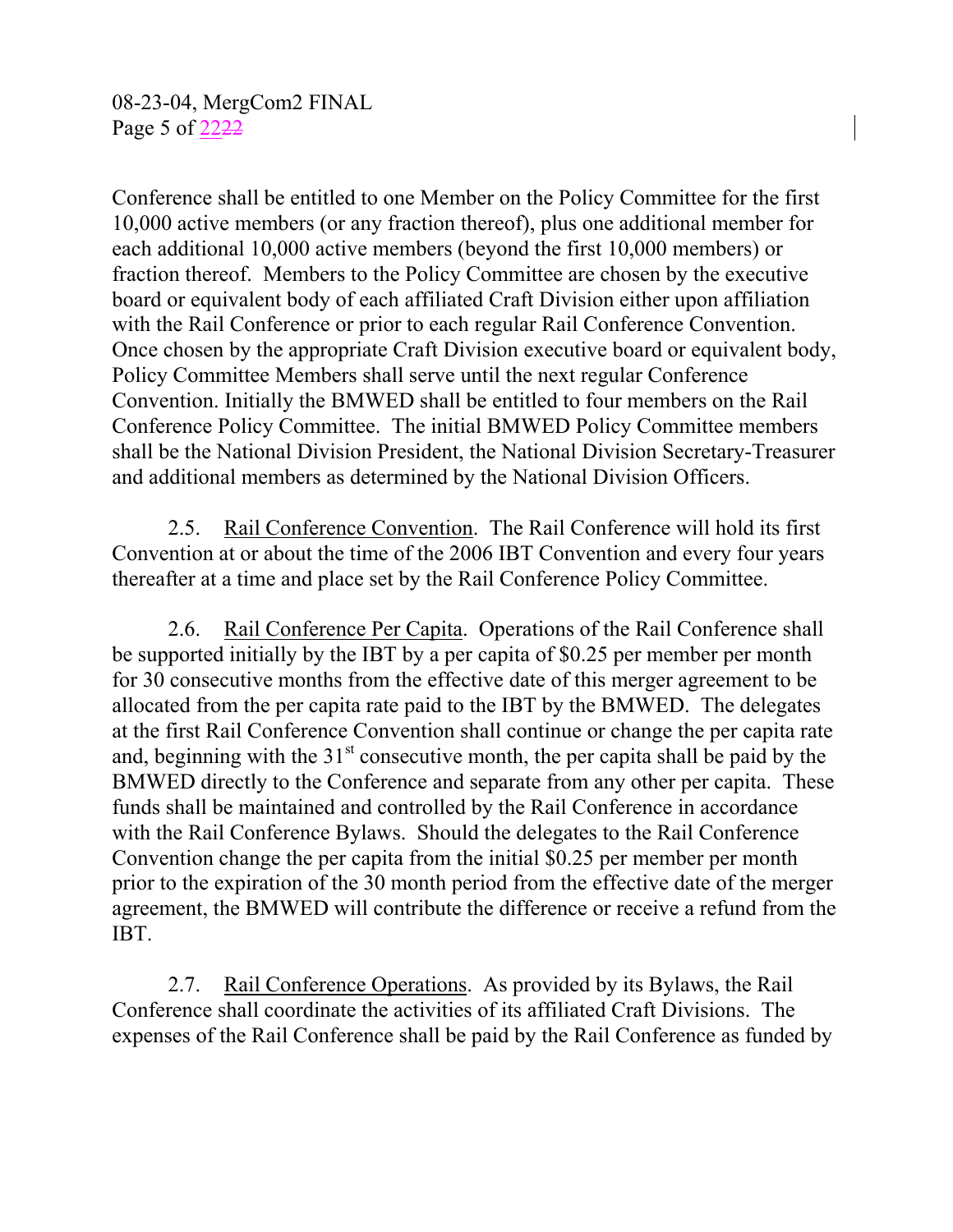08-23-04, MergCom2 FINAL Page 5 of 2222

Conference shall be entitled to one Member on the Policy Committee for the first 10,000 active members (or any fraction thereof), plus one additional member for each additional 10,000 active members (beyond the first 10,000 members) or fraction thereof. Members to the Policy Committee are chosen by the executive board or equivalent body of each affiliated Craft Division either upon affiliation with the Rail Conference or prior to each regular Rail Conference Convention. Once chosen by the appropriate Craft Division executive board or equivalent body, Policy Committee Members shall serve until the next regular Conference Convention. Initially the BMWED shall be entitled to four members on the Rail Conference Policy Committee. The initial BMWED Policy Committee members shall be the National Division President, the National Division Secretary-Treasurer and additional members as determined by the National Division Officers.

2.5. Rail Conference Convention. The Rail Conference will hold its first Convention at or about the time of the 2006 IBT Convention and every four years thereafter at a time and place set by the Rail Conference Policy Committee.

2.6. Rail Conference Per Capita. Operations of the Rail Conference shall be supported initially by the IBT by a per capita of \$0.25 per member per month for 30 consecutive months from the effective date of this merger agreement to be allocated from the per capita rate paid to the IBT by the BMWED. The delegates at the first Rail Conference Convention shall continue or change the per capita rate and, beginning with the  $31<sup>st</sup>$  consecutive month, the per capita shall be paid by the BMWED directly to the Conference and separate from any other per capita. These funds shall be maintained and controlled by the Rail Conference in accordance with the Rail Conference Bylaws. Should the delegates to the Rail Conference Convention change the per capita from the initial \$0.25 per member per month prior to the expiration of the 30 month period from the effective date of the merger agreement, the BMWED will contribute the difference or receive a refund from the IBT.

2.7. Rail Conference Operations. As provided by its Bylaws, the Rail Conference shall coordinate the activities of its affiliated Craft Divisions. The expenses of the Rail Conference shall be paid by the Rail Conference as funded by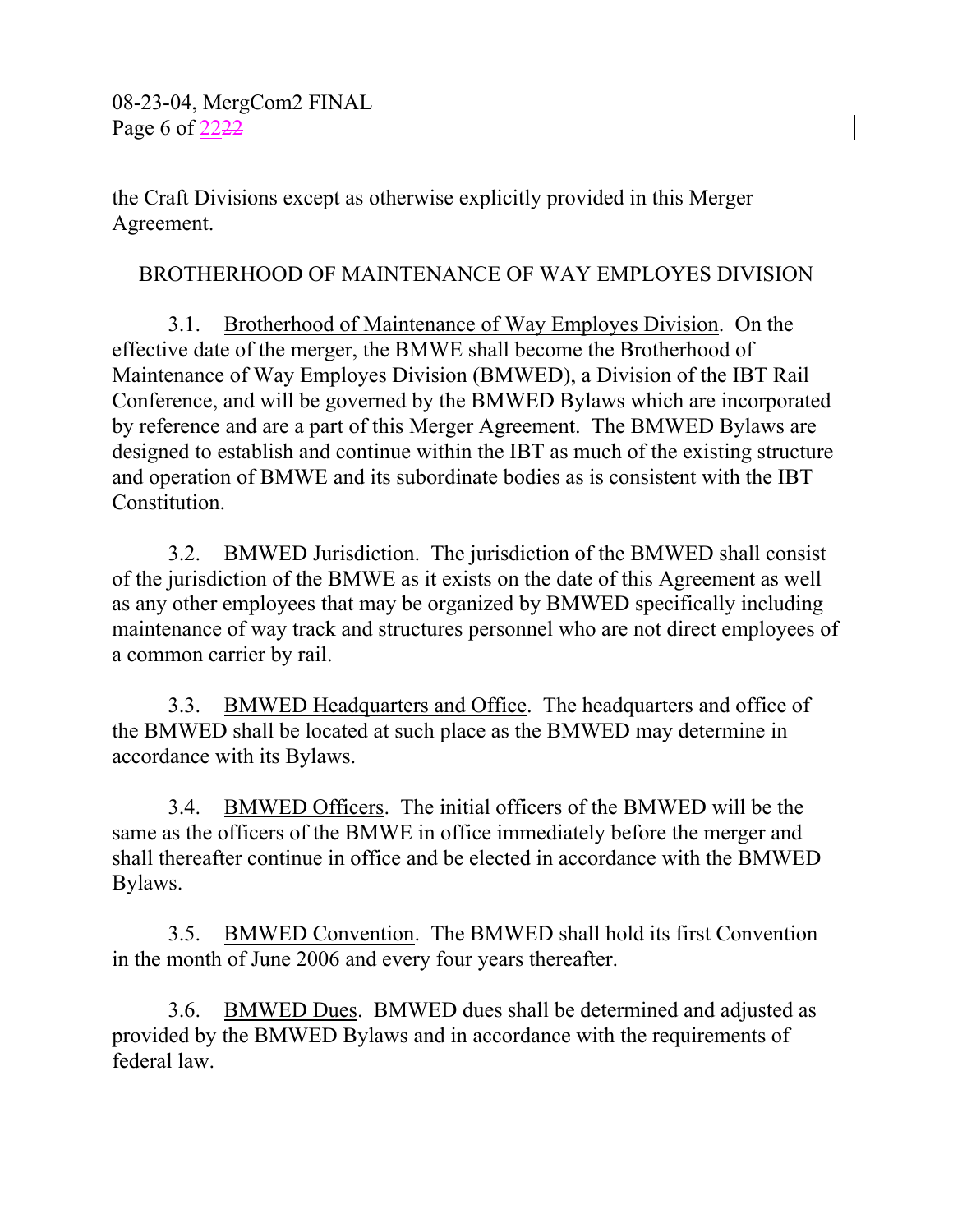08-23-04, MergCom2 FINAL Page 6 of 2222

the Craft Divisions except as otherwise explicitly provided in this Merger Agreement.

#### BROTHERHOOD OF MAINTENANCE OF WAY EMPLOYES DIVISION

3.1. Brotherhood of Maintenance of Way Employes Division. On the effective date of the merger, the BMWE shall become the Brotherhood of Maintenance of Way Employes Division (BMWED), a Division of the IBT Rail Conference, and will be governed by the BMWED Bylaws which are incorporated by reference and are a part of this Merger Agreement. The BMWED Bylaws are designed to establish and continue within the IBT as much of the existing structure and operation of BMWE and its subordinate bodies as is consistent with the IBT Constitution.

3.2. BMWED Jurisdiction. The jurisdiction of the BMWED shall consist of the jurisdiction of the BMWE as it exists on the date of this Agreement as well as any other employees that may be organized by BMWED specifically including maintenance of way track and structures personnel who are not direct employees of a common carrier by rail.

3.3. BMWED Headquarters and Office. The headquarters and office of the BMWED shall be located at such place as the BMWED may determine in accordance with its Bylaws.

3.4. BMWED Officers. The initial officers of the BMWED will be the same as the officers of the BMWE in office immediately before the merger and shall thereafter continue in office and be elected in accordance with the BMWED Bylaws.

3.5. BMWED Convention. The BMWED shall hold its first Convention in the month of June 2006 and every four years thereafter.

3.6. BMWED Dues. BMWED dues shall be determined and adjusted as provided by the BMWED Bylaws and in accordance with the requirements of federal law.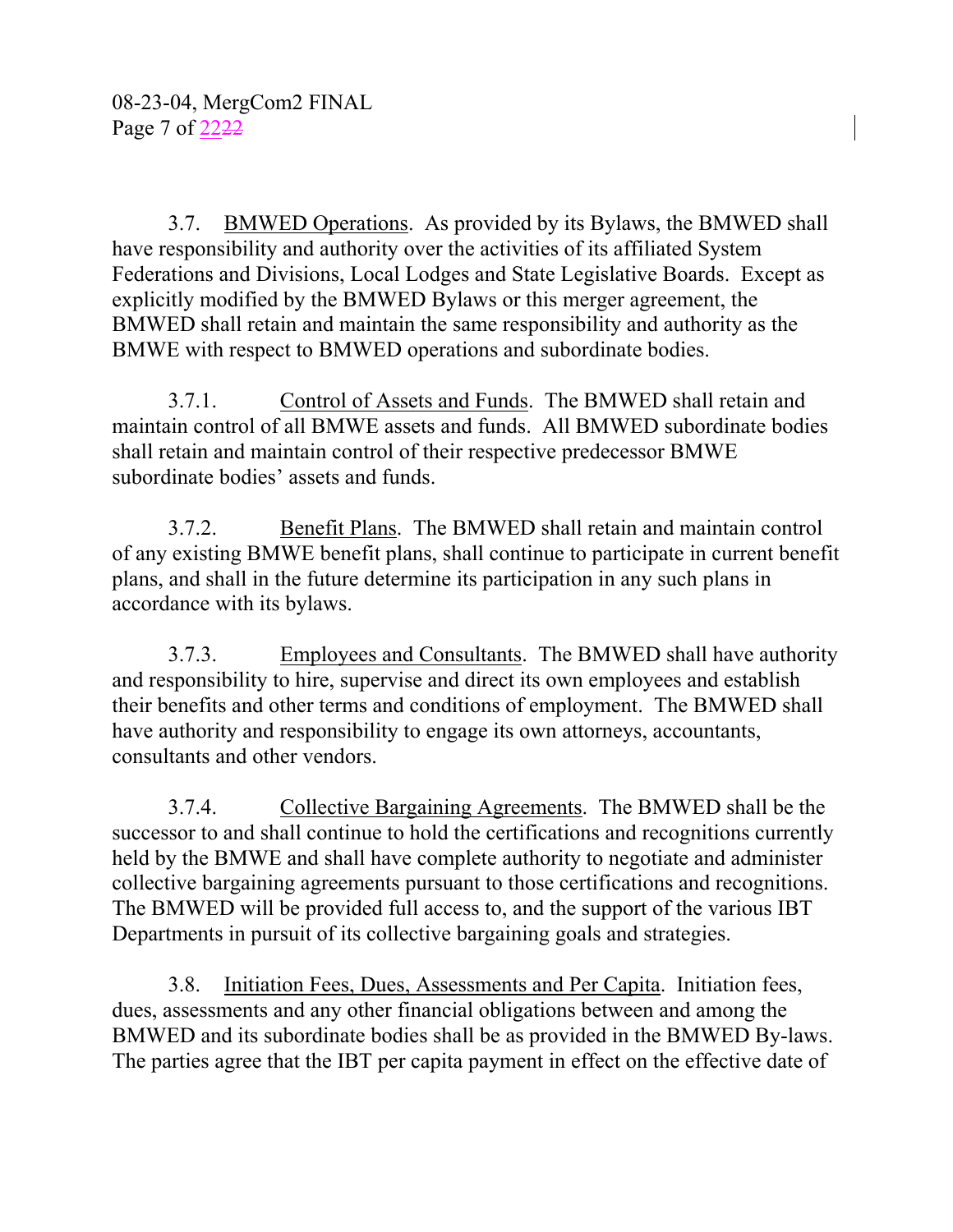3.7. BMWED Operations. As provided by its Bylaws, the BMWED shall have responsibility and authority over the activities of its affiliated System Federations and Divisions, Local Lodges and State Legislative Boards. Except as explicitly modified by the BMWED Bylaws or this merger agreement, the BMWED shall retain and maintain the same responsibility and authority as the BMWE with respect to BMWED operations and subordinate bodies.

3.7.1. Control of Assets and Funds. The BMWED shall retain and maintain control of all BMWE assets and funds. All BMWED subordinate bodies shall retain and maintain control of their respective predecessor BMWE subordinate bodies' assets and funds.

3.7.2. Benefit Plans. The BMWED shall retain and maintain control of any existing BMWE benefit plans, shall continue to participate in current benefit plans, and shall in the future determine its participation in any such plans in accordance with its bylaws.

3.7.3. Employees and Consultants. The BMWED shall have authority and responsibility to hire, supervise and direct its own employees and establish their benefits and other terms and conditions of employment. The BMWED shall have authority and responsibility to engage its own attorneys, accountants, consultants and other vendors.

3.7.4. Collective Bargaining Agreements. The BMWED shall be the successor to and shall continue to hold the certifications and recognitions currently held by the BMWE and shall have complete authority to negotiate and administer collective bargaining agreements pursuant to those certifications and recognitions. The BMWED will be provided full access to, and the support of the various IBT Departments in pursuit of its collective bargaining goals and strategies.

3.8. Initiation Fees, Dues, Assessments and Per Capita. Initiation fees, dues, assessments and any other financial obligations between and among the BMWED and its subordinate bodies shall be as provided in the BMWED By-laws. The parties agree that the IBT per capita payment in effect on the effective date of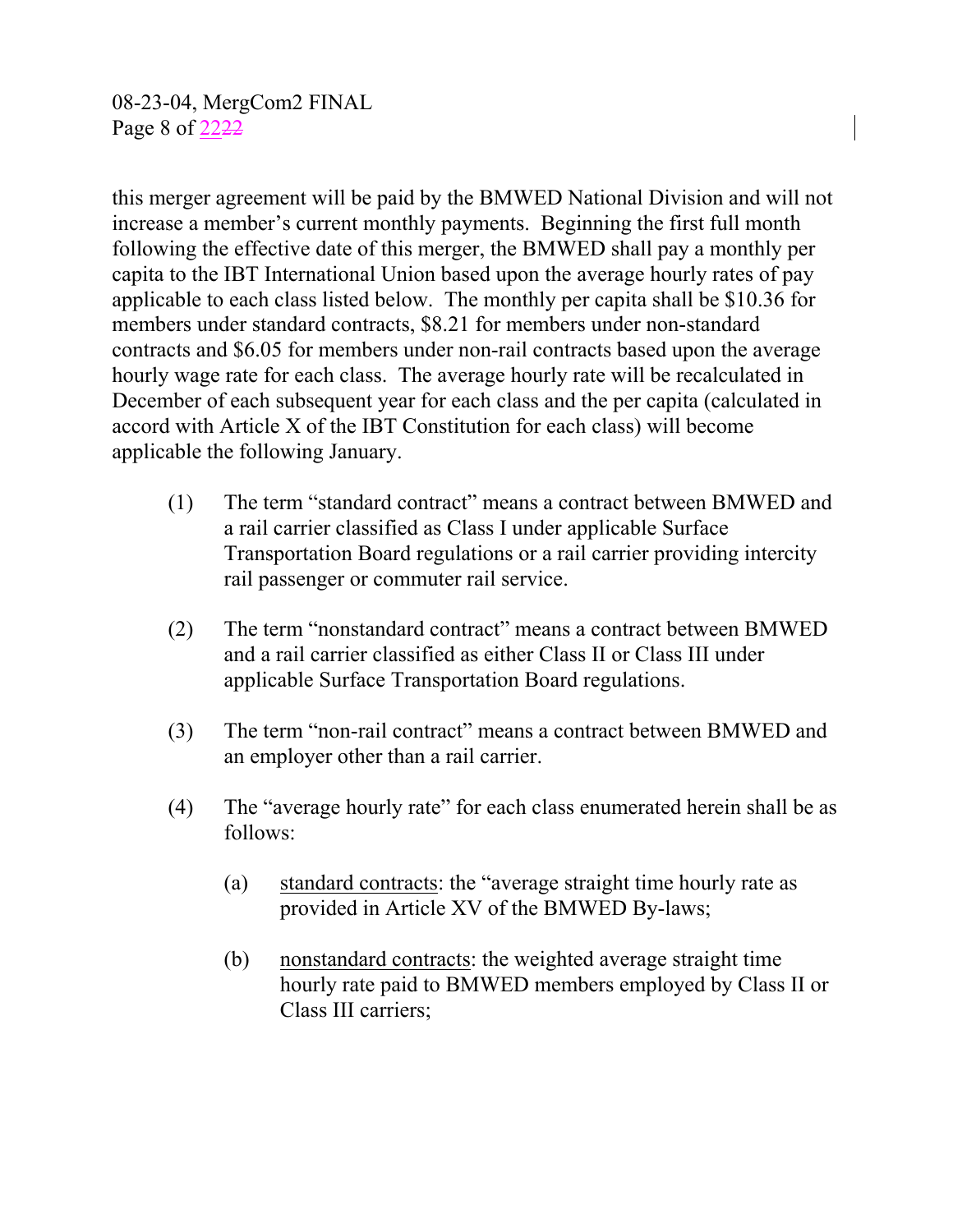08-23-04, MergCom2 FINAL Page 8 of 2222

this merger agreement will be paid by the BMWED National Division and will not increase a member's current monthly payments. Beginning the first full month following the effective date of this merger, the BMWED shall pay a monthly per capita to the IBT International Union based upon the average hourly rates of pay applicable to each class listed below. The monthly per capita shall be \$10.36 for members under standard contracts, \$8.21 for members under non-standard contracts and \$6.05 for members under non-rail contracts based upon the average hourly wage rate for each class. The average hourly rate will be recalculated in December of each subsequent year for each class and the per capita (calculated in accord with Article X of the IBT Constitution for each class) will become applicable the following January.

- (1) The term "standard contract" means a contract between BMWED and a rail carrier classified as Class I under applicable Surface Transportation Board regulations or a rail carrier providing intercity rail passenger or commuter rail service.
- (2) The term "nonstandard contract" means a contract between BMWED and a rail carrier classified as either Class II or Class III under applicable Surface Transportation Board regulations.
- (3) The term "non-rail contract" means a contract between BMWED and an employer other than a rail carrier.
- (4) The "average hourly rate" for each class enumerated herein shall be as follows:
	- (a) standard contracts: the "average straight time hourly rate as provided in Article XV of the BMWED By-laws;
	- (b) nonstandard contracts: the weighted average straight time hourly rate paid to BMWED members employed by Class II or Class III carriers;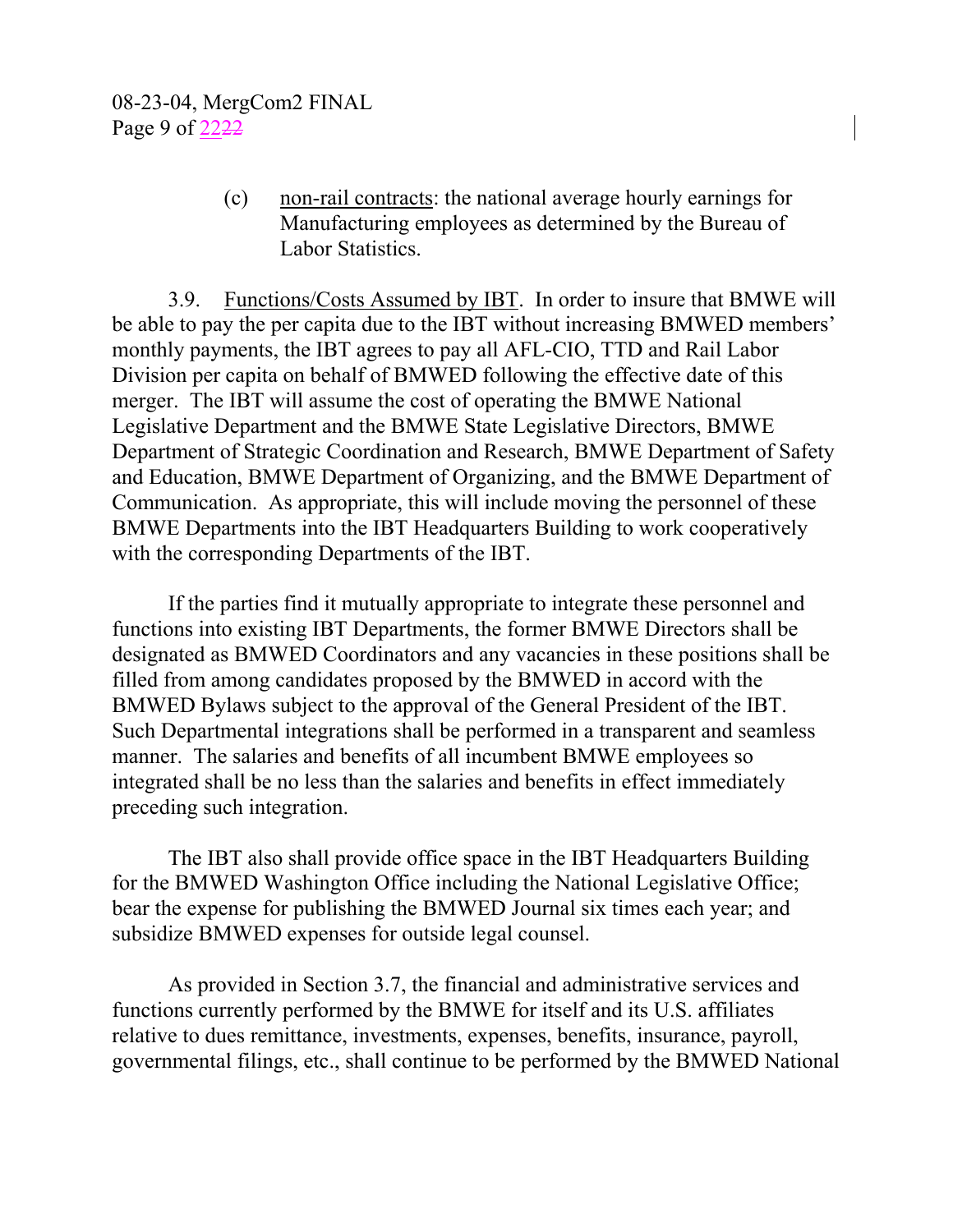(c) non-rail contracts: the national average hourly earnings for Manufacturing employees as determined by the Bureau of Labor Statistics.

3.9. Functions/Costs Assumed by IBT. In order to insure that BMWE will be able to pay the per capita due to the IBT without increasing BMWED members' monthly payments, the IBT agrees to pay all AFL-CIO, TTD and Rail Labor Division per capita on behalf of BMWED following the effective date of this merger. The IBT will assume the cost of operating the BMWE National Legislative Department and the BMWE State Legislative Directors, BMWE Department of Strategic Coordination and Research, BMWE Department of Safety and Education, BMWE Department of Organizing, and the BMWE Department of Communication. As appropriate, this will include moving the personnel of these BMWE Departments into the IBT Headquarters Building to work cooperatively with the corresponding Departments of the IBT.

If the parties find it mutually appropriate to integrate these personnel and functions into existing IBT Departments, the former BMWE Directors shall be designated as BMWED Coordinators and any vacancies in these positions shall be filled from among candidates proposed by the BMWED in accord with the BMWED Bylaws subject to the approval of the General President of the IBT. Such Departmental integrations shall be performed in a transparent and seamless manner. The salaries and benefits of all incumbent BMWE employees so integrated shall be no less than the salaries and benefits in effect immediately preceding such integration.

The IBT also shall provide office space in the IBT Headquarters Building for the BMWED Washington Office including the National Legislative Office; bear the expense for publishing the BMWED Journal six times each year; and subsidize BMWED expenses for outside legal counsel.

As provided in Section 3.7, the financial and administrative services and functions currently performed by the BMWE for itself and its U.S. affiliates relative to dues remittance, investments, expenses, benefits, insurance, payroll, governmental filings, etc., shall continue to be performed by the BMWED National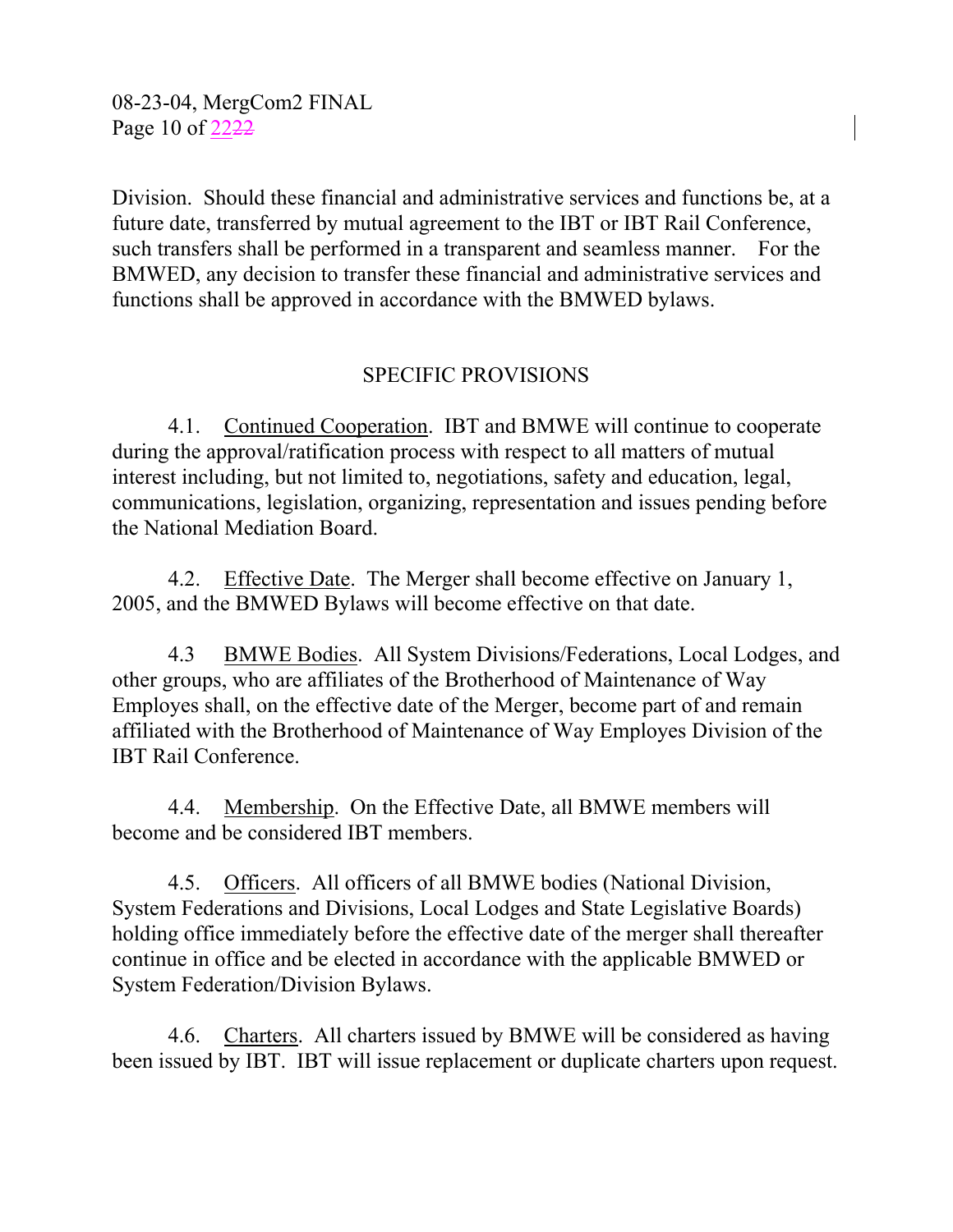08-23-04, MergCom2 FINAL Page 10 of 2222

Division. Should these financial and administrative services and functions be, at a future date, transferred by mutual agreement to the IBT or IBT Rail Conference, such transfers shall be performed in a transparent and seamless manner. For the BMWED, any decision to transfer these financial and administrative services and functions shall be approved in accordance with the BMWED bylaws.

## SPECIFIC PROVISIONS

4.1. Continued Cooperation. IBT and BMWE will continue to cooperate during the approval/ratification process with respect to all matters of mutual interest including, but not limited to, negotiations, safety and education, legal, communications, legislation, organizing, representation and issues pending before the National Mediation Board.

4.2. Effective Date. The Merger shall become effective on January 1, 2005, and the BMWED Bylaws will become effective on that date.

4.3 BMWE Bodies. All System Divisions/Federations, Local Lodges, and other groups, who are affiliates of the Brotherhood of Maintenance of Way Employes shall, on the effective date of the Merger, become part of and remain affiliated with the Brotherhood of Maintenance of Way Employes Division of the IBT Rail Conference.

4.4. Membership. On the Effective Date, all BMWE members will become and be considered IBT members.

4.5. Officers. All officers of all BMWE bodies (National Division, System Federations and Divisions, Local Lodges and State Legislative Boards) holding office immediately before the effective date of the merger shall thereafter continue in office and be elected in accordance with the applicable BMWED or System Federation/Division Bylaws.

4.6. Charters. All charters issued by BMWE will be considered as having been issued by IBT. IBT will issue replacement or duplicate charters upon request.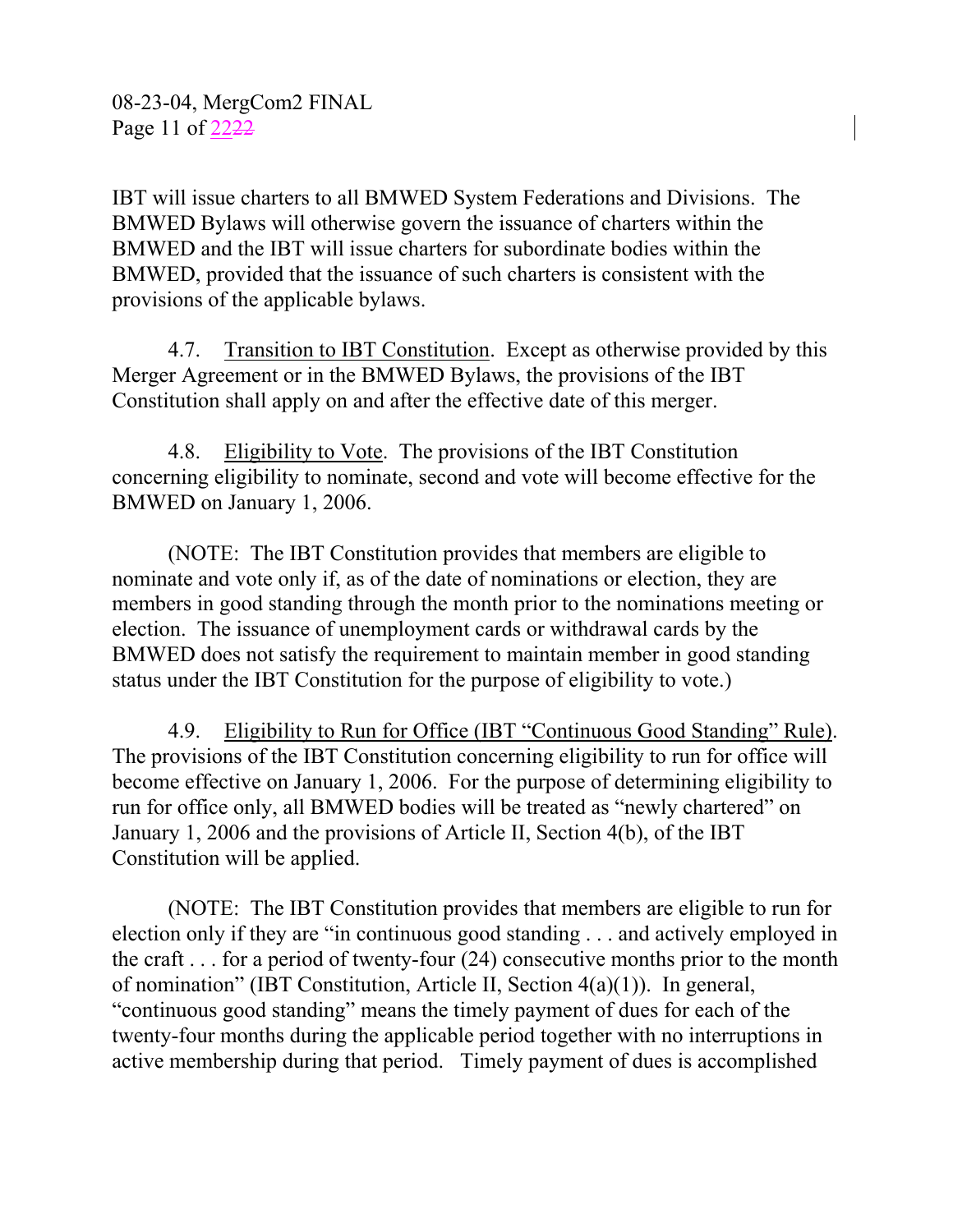IBT will issue charters to all BMWED System Federations and Divisions. The BMWED Bylaws will otherwise govern the issuance of charters within the BMWED and the IBT will issue charters for subordinate bodies within the BMWED, provided that the issuance of such charters is consistent with the provisions of the applicable bylaws.

4.7. Transition to IBT Constitution. Except as otherwise provided by this Merger Agreement or in the BMWED Bylaws, the provisions of the IBT Constitution shall apply on and after the effective date of this merger.

4.8. Eligibility to Vote. The provisions of the IBT Constitution concerning eligibility to nominate, second and vote will become effective for the BMWED on January 1, 2006.

(NOTE: The IBT Constitution provides that members are eligible to nominate and vote only if, as of the date of nominations or election, they are members in good standing through the month prior to the nominations meeting or election. The issuance of unemployment cards or withdrawal cards by the BMWED does not satisfy the requirement to maintain member in good standing status under the IBT Constitution for the purpose of eligibility to vote.)

4.9. Eligibility to Run for Office (IBT "Continuous Good Standing" Rule). The provisions of the IBT Constitution concerning eligibility to run for office will become effective on January 1, 2006. For the purpose of determining eligibility to run for office only, all BMWED bodies will be treated as "newly chartered" on January 1, 2006 and the provisions of Article II, Section 4(b), of the IBT Constitution will be applied.

(NOTE: The IBT Constitution provides that members are eligible to run for election only if they are "in continuous good standing . . . and actively employed in the craft . . . for a period of twenty-four (24) consecutive months prior to the month of nomination" (IBT Constitution, Article II, Section 4(a)(1)). In general, "continuous good standing" means the timely payment of dues for each of the twenty-four months during the applicable period together with no interruptions in active membership during that period. Timely payment of dues is accomplished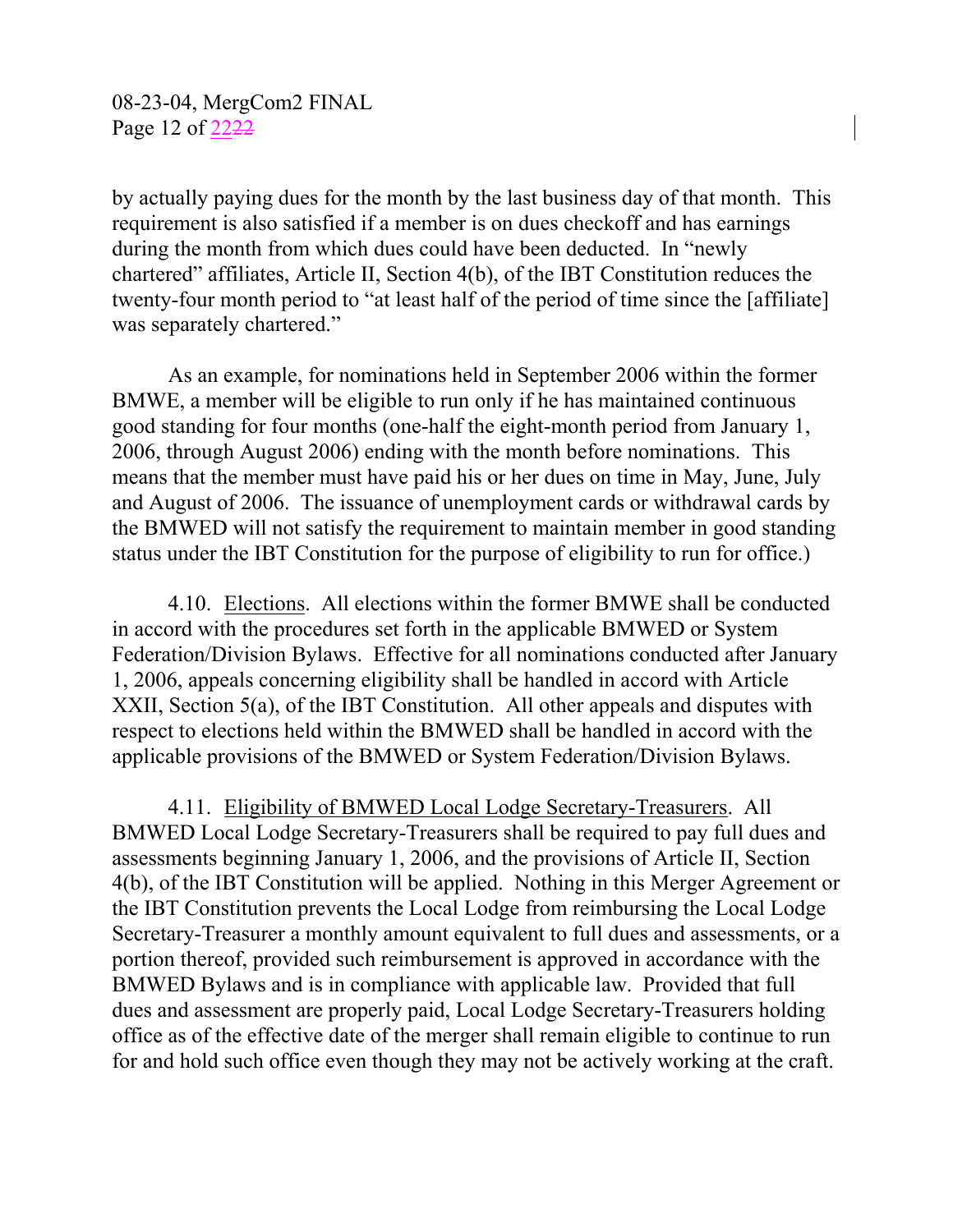by actually paying dues for the month by the last business day of that month. This requirement is also satisfied if a member is on dues checkoff and has earnings during the month from which dues could have been deducted. In "newly chartered" affiliates, Article II, Section 4(b), of the IBT Constitution reduces the twenty-four month period to "at least half of the period of time since the [affiliate] was separately chartered."

As an example, for nominations held in September 2006 within the former BMWE, a member will be eligible to run only if he has maintained continuous good standing for four months (one-half the eight-month period from January 1, 2006, through August 2006) ending with the month before nominations. This means that the member must have paid his or her dues on time in May, June, July and August of 2006. The issuance of unemployment cards or withdrawal cards by the BMWED will not satisfy the requirement to maintain member in good standing status under the IBT Constitution for the purpose of eligibility to run for office.)

4.10. Elections. All elections within the former BMWE shall be conducted in accord with the procedures set forth in the applicable BMWED or System Federation/Division Bylaws. Effective for all nominations conducted after January 1, 2006, appeals concerning eligibility shall be handled in accord with Article XXII, Section 5(a), of the IBT Constitution. All other appeals and disputes with respect to elections held within the BMWED shall be handled in accord with the applicable provisions of the BMWED or System Federation/Division Bylaws.

4.11. Eligibility of BMWED Local Lodge Secretary-Treasurers. All BMWED Local Lodge Secretary-Treasurers shall be required to pay full dues and assessments beginning January 1, 2006, and the provisions of Article II, Section 4(b), of the IBT Constitution will be applied. Nothing in this Merger Agreement or the IBT Constitution prevents the Local Lodge from reimbursing the Local Lodge Secretary-Treasurer a monthly amount equivalent to full dues and assessments, or a portion thereof, provided such reimbursement is approved in accordance with the BMWED Bylaws and is in compliance with applicable law. Provided that full dues and assessment are properly paid, Local Lodge Secretary-Treasurers holding office as of the effective date of the merger shall remain eligible to continue to run for and hold such office even though they may not be actively working at the craft.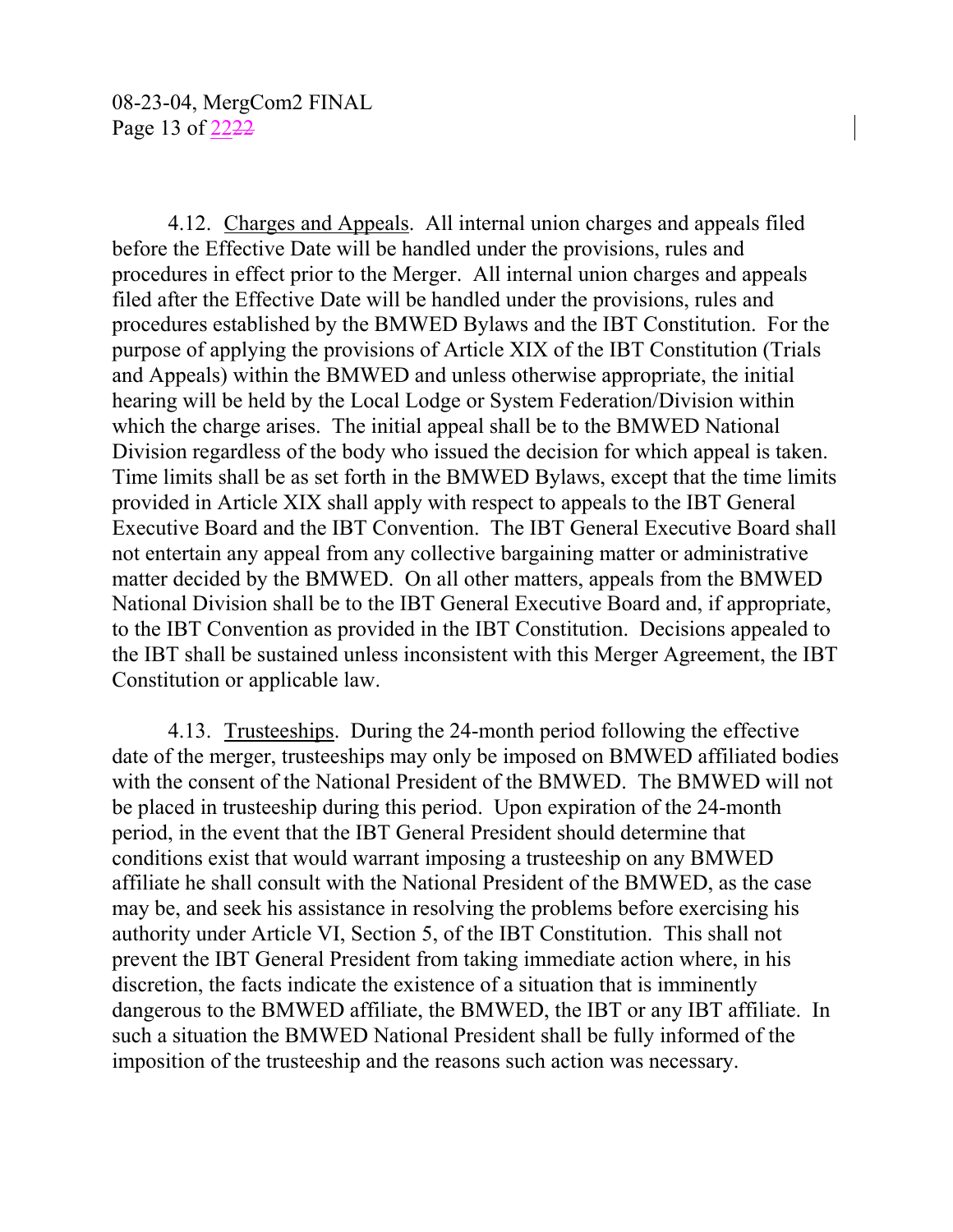4.12. Charges and Appeals. All internal union charges and appeals filed before the Effective Date will be handled under the provisions, rules and procedures in effect prior to the Merger. All internal union charges and appeals filed after the Effective Date will be handled under the provisions, rules and procedures established by the BMWED Bylaws and the IBT Constitution. For the purpose of applying the provisions of Article XIX of the IBT Constitution (Trials and Appeals) within the BMWED and unless otherwise appropriate, the initial hearing will be held by the Local Lodge or System Federation/Division within which the charge arises. The initial appeal shall be to the BMWED National Division regardless of the body who issued the decision for which appeal is taken. Time limits shall be as set forth in the BMWED Bylaws, except that the time limits provided in Article XIX shall apply with respect to appeals to the IBT General Executive Board and the IBT Convention. The IBT General Executive Board shall not entertain any appeal from any collective bargaining matter or administrative matter decided by the BMWED. On all other matters, appeals from the BMWED National Division shall be to the IBT General Executive Board and, if appropriate, to the IBT Convention as provided in the IBT Constitution. Decisions appealed to the IBT shall be sustained unless inconsistent with this Merger Agreement, the IBT Constitution or applicable law.

4.13. Trusteeships. During the 24-month period following the effective date of the merger, trusteeships may only be imposed on BMWED affiliated bodies with the consent of the National President of the BMWED. The BMWED will not be placed in trusteeship during this period. Upon expiration of the 24-month period, in the event that the IBT General President should determine that conditions exist that would warrant imposing a trusteeship on any BMWED affiliate he shall consult with the National President of the BMWED, as the case may be, and seek his assistance in resolving the problems before exercising his authority under Article VI, Section 5, of the IBT Constitution. This shall not prevent the IBT General President from taking immediate action where, in his discretion, the facts indicate the existence of a situation that is imminently dangerous to the BMWED affiliate, the BMWED, the IBT or any IBT affiliate. In such a situation the BMWED National President shall be fully informed of the imposition of the trusteeship and the reasons such action was necessary.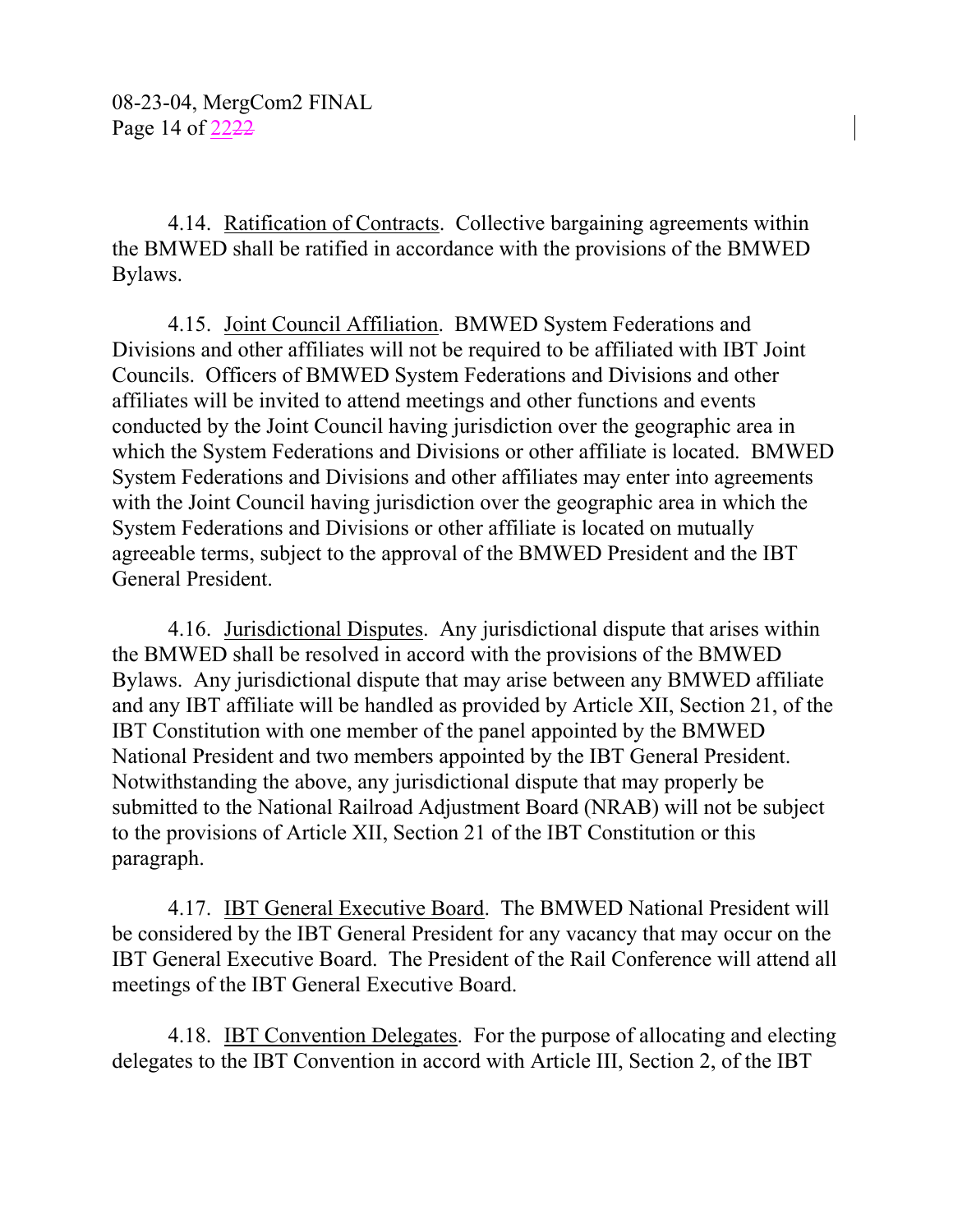4.14. Ratification of Contracts. Collective bargaining agreements within the BMWED shall be ratified in accordance with the provisions of the BMWED Bylaws.

4.15. Joint Council Affiliation. BMWED System Federations and Divisions and other affiliates will not be required to be affiliated with IBT Joint Councils. Officers of BMWED System Federations and Divisions and other affiliates will be invited to attend meetings and other functions and events conducted by the Joint Council having jurisdiction over the geographic area in which the System Federations and Divisions or other affiliate is located. BMWED System Federations and Divisions and other affiliates may enter into agreements with the Joint Council having jurisdiction over the geographic area in which the System Federations and Divisions or other affiliate is located on mutually agreeable terms, subject to the approval of the BMWED President and the IBT General President.

4.16. Jurisdictional Disputes. Any jurisdictional dispute that arises within the BMWED shall be resolved in accord with the provisions of the BMWED Bylaws. Any jurisdictional dispute that may arise between any BMWED affiliate and any IBT affiliate will be handled as provided by Article XII, Section 21, of the IBT Constitution with one member of the panel appointed by the BMWED National President and two members appointed by the IBT General President. Notwithstanding the above, any jurisdictional dispute that may properly be submitted to the National Railroad Adjustment Board (NRAB) will not be subject to the provisions of Article XII, Section 21 of the IBT Constitution or this paragraph.

4.17. IBT General Executive Board. The BMWED National President will be considered by the IBT General President for any vacancy that may occur on the IBT General Executive Board. The President of the Rail Conference will attend all meetings of the IBT General Executive Board.

4.18. IBT Convention Delegates. For the purpose of allocating and electing delegates to the IBT Convention in accord with Article III, Section 2, of the IBT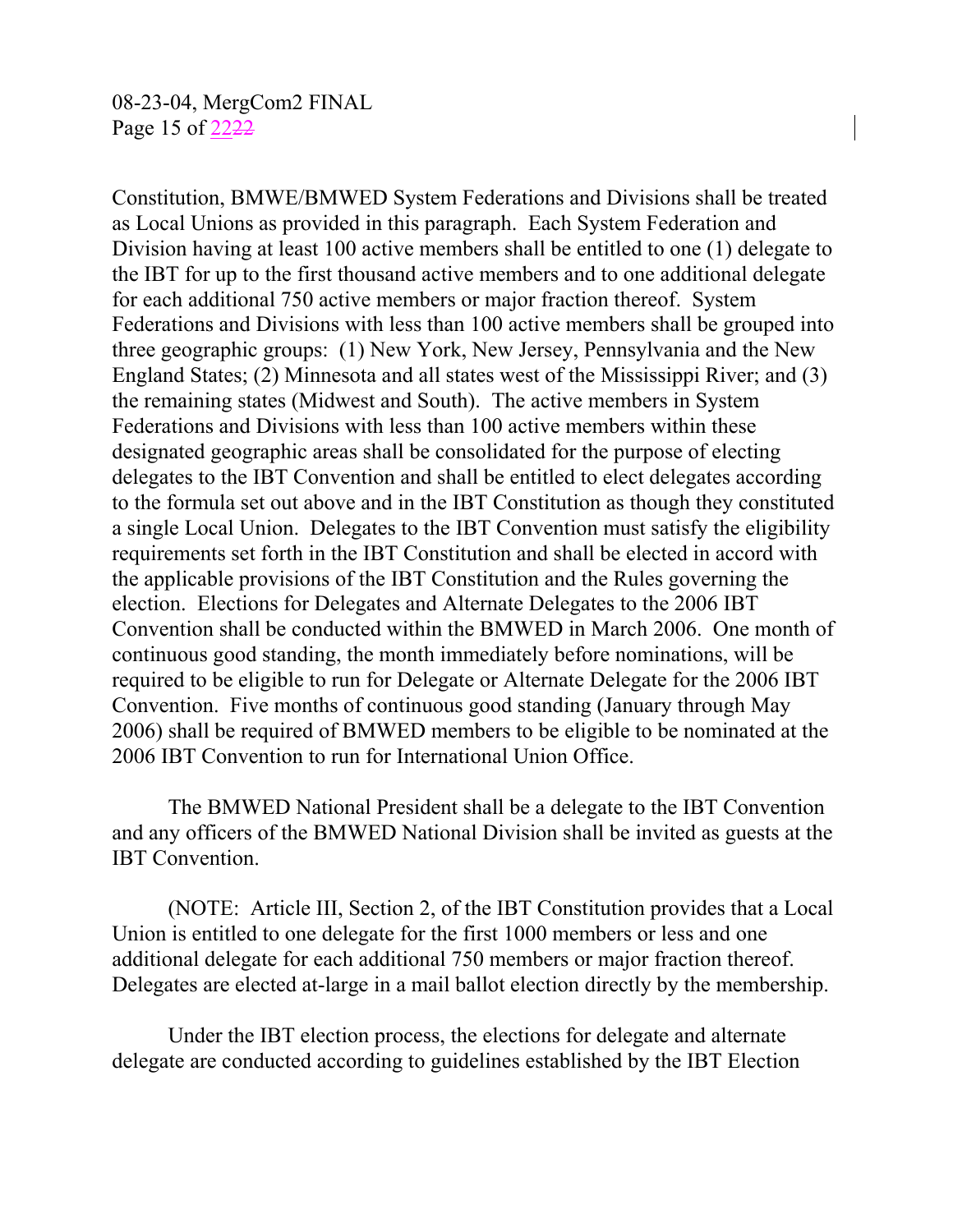Constitution, BMWE/BMWED System Federations and Divisions shall be treated as Local Unions as provided in this paragraph. Each System Federation and Division having at least 100 active members shall be entitled to one (1) delegate to the IBT for up to the first thousand active members and to one additional delegate for each additional 750 active members or major fraction thereof. System Federations and Divisions with less than 100 active members shall be grouped into three geographic groups: (1) New York, New Jersey, Pennsylvania and the New England States; (2) Minnesota and all states west of the Mississippi River; and (3) the remaining states (Midwest and South). The active members in System Federations and Divisions with less than 100 active members within these designated geographic areas shall be consolidated for the purpose of electing delegates to the IBT Convention and shall be entitled to elect delegates according to the formula set out above and in the IBT Constitution as though they constituted a single Local Union. Delegates to the IBT Convention must satisfy the eligibility requirements set forth in the IBT Constitution and shall be elected in accord with the applicable provisions of the IBT Constitution and the Rules governing the election. Elections for Delegates and Alternate Delegates to the 2006 IBT Convention shall be conducted within the BMWED in March 2006. One month of continuous good standing, the month immediately before nominations, will be required to be eligible to run for Delegate or Alternate Delegate for the 2006 IBT Convention. Five months of continuous good standing (January through May 2006) shall be required of BMWED members to be eligible to be nominated at the 2006 IBT Convention to run for International Union Office.

The BMWED National President shall be a delegate to the IBT Convention and any officers of the BMWED National Division shall be invited as guests at the IBT Convention.

(NOTE: Article III, Section 2, of the IBT Constitution provides that a Local Union is entitled to one delegate for the first 1000 members or less and one additional delegate for each additional 750 members or major fraction thereof. Delegates are elected at-large in a mail ballot election directly by the membership.

Under the IBT election process, the elections for delegate and alternate delegate are conducted according to guidelines established by the IBT Election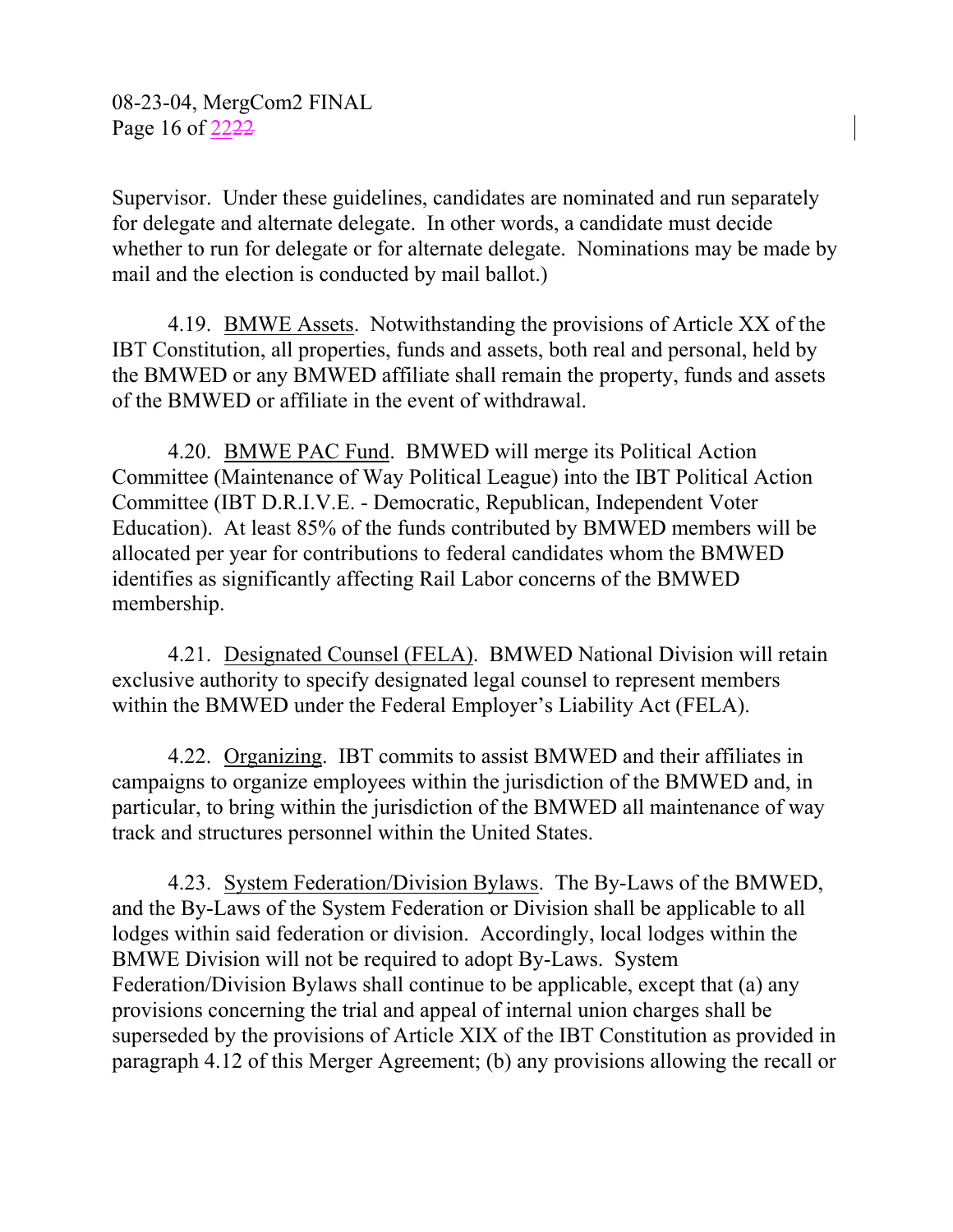Supervisor. Under these guidelines, candidates are nominated and run separately for delegate and alternate delegate. In other words, a candidate must decide whether to run for delegate or for alternate delegate. Nominations may be made by mail and the election is conducted by mail ballot.)

4.19. BMWE Assets. Notwithstanding the provisions of Article XX of the IBT Constitution, all properties, funds and assets, both real and personal, held by the BMWED or any BMWED affiliate shall remain the property, funds and assets of the BMWED or affiliate in the event of withdrawal.

4.20. BMWE PAC Fund. BMWED will merge its Political Action Committee (Maintenance of Way Political League) into the IBT Political Action Committee (IBT D.R.I.V.E. - Democratic, Republican, Independent Voter Education). At least 85% of the funds contributed by BMWED members will be allocated per year for contributions to federal candidates whom the BMWED identifies as significantly affecting Rail Labor concerns of the BMWED membership.

4.21. Designated Counsel (FELA). BMWED National Division will retain exclusive authority to specify designated legal counsel to represent members within the BMWED under the Federal Employer's Liability Act (FELA).

4.22. Organizing. IBT commits to assist BMWED and their affiliates in campaigns to organize employees within the jurisdiction of the BMWED and, in particular, to bring within the jurisdiction of the BMWED all maintenance of way track and structures personnel within the United States.

4.23. System Federation/Division Bylaws. The By-Laws of the BMWED, and the By-Laws of the System Federation or Division shall be applicable to all lodges within said federation or division. Accordingly, local lodges within the BMWE Division will not be required to adopt By-Laws. System Federation/Division Bylaws shall continue to be applicable, except that (a) any provisions concerning the trial and appeal of internal union charges shall be superseded by the provisions of Article XIX of the IBT Constitution as provided in paragraph 4.12 of this Merger Agreement; (b) any provisions allowing the recall or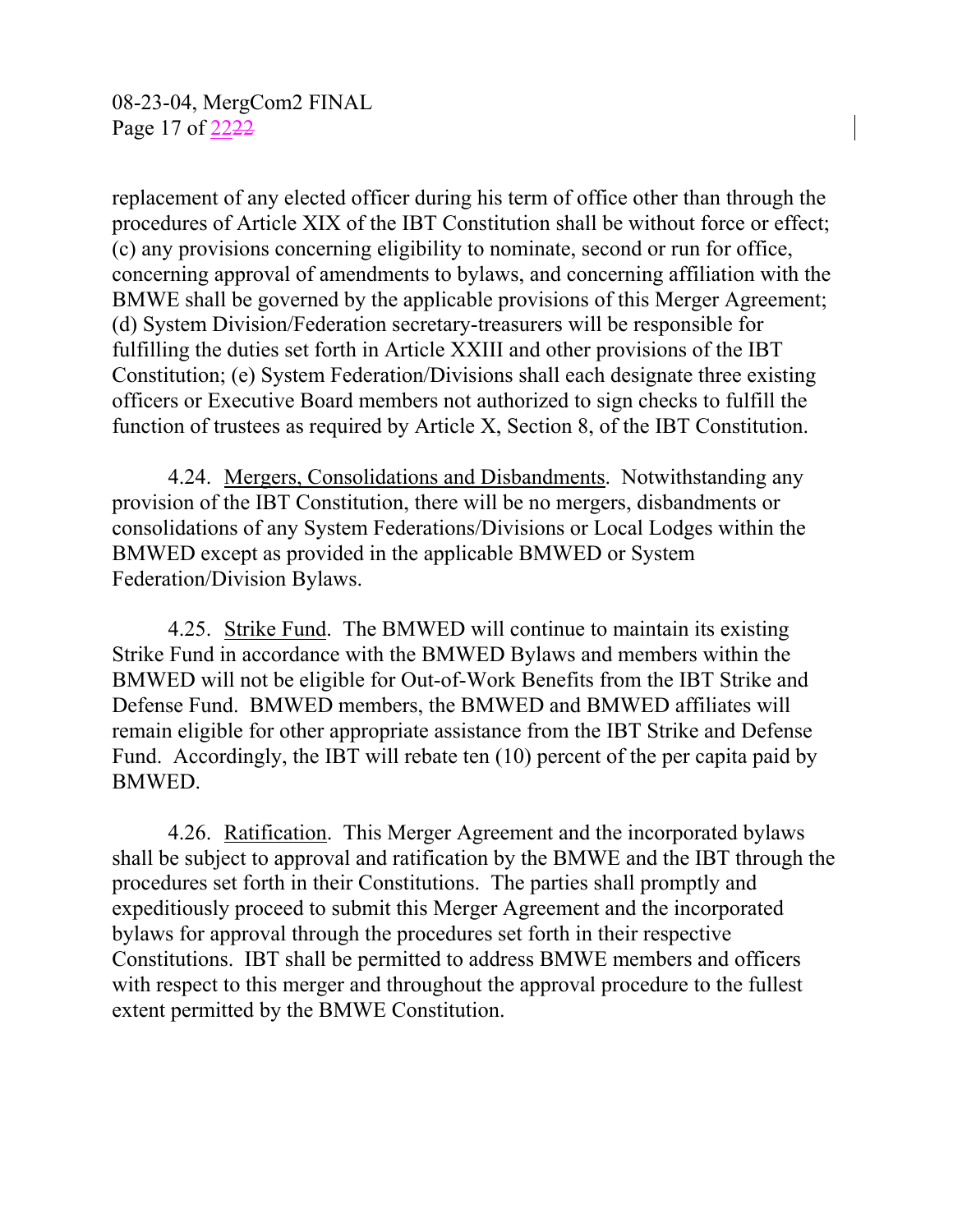08-23-04, MergCom2 FINAL Page 17 of 2222

replacement of any elected officer during his term of office other than through the procedures of Article XIX of the IBT Constitution shall be without force or effect; (c) any provisions concerning eligibility to nominate, second or run for office, concerning approval of amendments to bylaws, and concerning affiliation with the BMWE shall be governed by the applicable provisions of this Merger Agreement; (d) System Division/Federation secretary-treasurers will be responsible for fulfilling the duties set forth in Article XXIII and other provisions of the IBT Constitution; (e) System Federation/Divisions shall each designate three existing officers or Executive Board members not authorized to sign checks to fulfill the function of trustees as required by Article X, Section 8, of the IBT Constitution.

4.24. Mergers, Consolidations and Disbandments. Notwithstanding any provision of the IBT Constitution, there will be no mergers, disbandments or consolidations of any System Federations/Divisions or Local Lodges within the BMWED except as provided in the applicable BMWED or System Federation/Division Bylaws.

4.25. Strike Fund. The BMWED will continue to maintain its existing Strike Fund in accordance with the BMWED Bylaws and members within the BMWED will not be eligible for Out-of-Work Benefits from the IBT Strike and Defense Fund. BMWED members, the BMWED and BMWED affiliates will remain eligible for other appropriate assistance from the IBT Strike and Defense Fund. Accordingly, the IBT will rebate ten (10) percent of the per capita paid by BMWED.

4.26. Ratification. This Merger Agreement and the incorporated bylaws shall be subject to approval and ratification by the BMWE and the IBT through the procedures set forth in their Constitutions. The parties shall promptly and expeditiously proceed to submit this Merger Agreement and the incorporated bylaws for approval through the procedures set forth in their respective Constitutions. IBT shall be permitted to address BMWE members and officers with respect to this merger and throughout the approval procedure to the fullest extent permitted by the BMWE Constitution.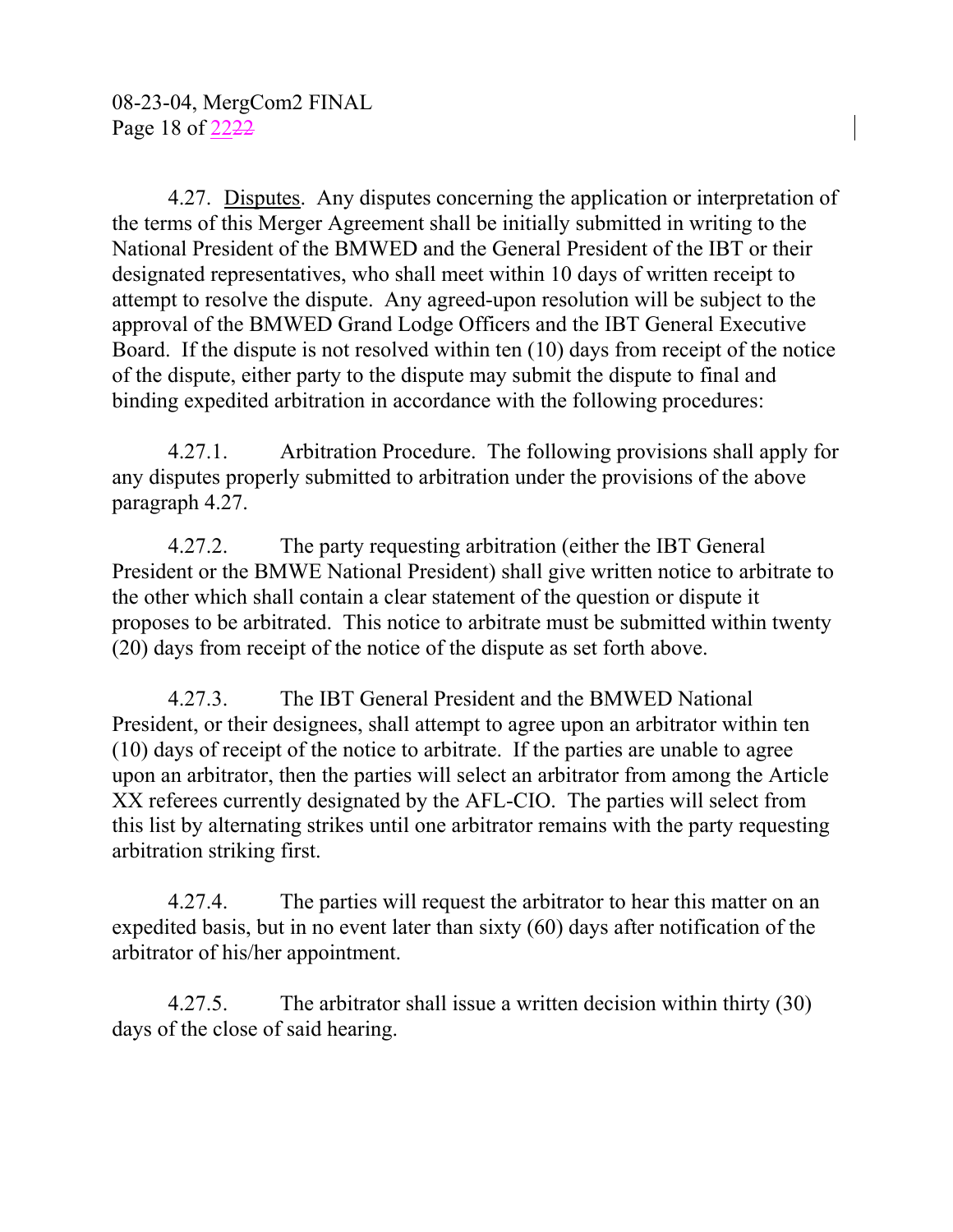4.27. Disputes. Any disputes concerning the application or interpretation of the terms of this Merger Agreement shall be initially submitted in writing to the National President of the BMWED and the General President of the IBT or their designated representatives, who shall meet within 10 days of written receipt to attempt to resolve the dispute. Any agreed-upon resolution will be subject to the approval of the BMWED Grand Lodge Officers and the IBT General Executive Board. If the dispute is not resolved within ten (10) days from receipt of the notice of the dispute, either party to the dispute may submit the dispute to final and binding expedited arbitration in accordance with the following procedures:

4.27.1. Arbitration Procedure. The following provisions shall apply for any disputes properly submitted to arbitration under the provisions of the above paragraph 4.27.

4.27.2. The party requesting arbitration (either the IBT General President or the BMWE National President) shall give written notice to arbitrate to the other which shall contain a clear statement of the question or dispute it proposes to be arbitrated. This notice to arbitrate must be submitted within twenty (20) days from receipt of the notice of the dispute as set forth above.

4.27.3. The IBT General President and the BMWED National President, or their designees, shall attempt to agree upon an arbitrator within ten (10) days of receipt of the notice to arbitrate. If the parties are unable to agree upon an arbitrator, then the parties will select an arbitrator from among the Article XX referees currently designated by the AFL-CIO. The parties will select from this list by alternating strikes until one arbitrator remains with the party requesting arbitration striking first.

4.27.4. The parties will request the arbitrator to hear this matter on an expedited basis, but in no event later than sixty (60) days after notification of the arbitrator of his/her appointment.

4.27.5. The arbitrator shall issue a written decision within thirty (30) days of the close of said hearing.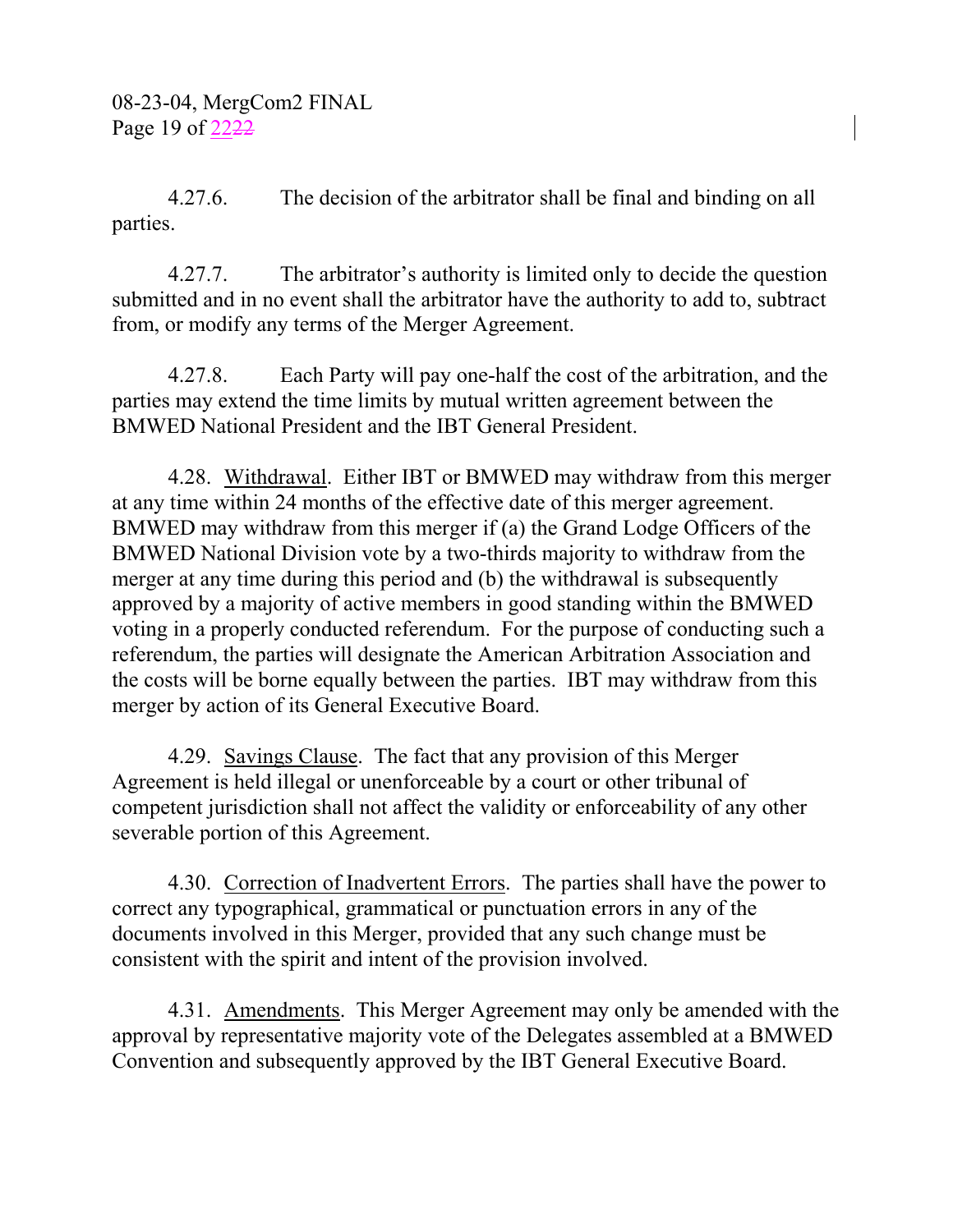4.27.6. The decision of the arbitrator shall be final and binding on all parties.

4.27.7. The arbitrator's authority is limited only to decide the question submitted and in no event shall the arbitrator have the authority to add to, subtract from, or modify any terms of the Merger Agreement.

4.27.8. Each Party will pay one-half the cost of the arbitration, and the parties may extend the time limits by mutual written agreement between the BMWED National President and the IBT General President.

4.28. Withdrawal. Either IBT or BMWED may withdraw from this merger at any time within 24 months of the effective date of this merger agreement. BMWED may withdraw from this merger if (a) the Grand Lodge Officers of the BMWED National Division vote by a two-thirds majority to withdraw from the merger at any time during this period and (b) the withdrawal is subsequently approved by a majority of active members in good standing within the BMWED voting in a properly conducted referendum. For the purpose of conducting such a referendum, the parties will designate the American Arbitration Association and the costs will be borne equally between the parties. IBT may withdraw from this merger by action of its General Executive Board.

4.29. Savings Clause. The fact that any provision of this Merger Agreement is held illegal or unenforceable by a court or other tribunal of competent jurisdiction shall not affect the validity or enforceability of any other severable portion of this Agreement.

4.30. Correction of Inadvertent Errors. The parties shall have the power to correct any typographical, grammatical or punctuation errors in any of the documents involved in this Merger, provided that any such change must be consistent with the spirit and intent of the provision involved.

4.31. Amendments. This Merger Agreement may only be amended with the approval by representative majority vote of the Delegates assembled at a BMWED Convention and subsequently approved by the IBT General Executive Board.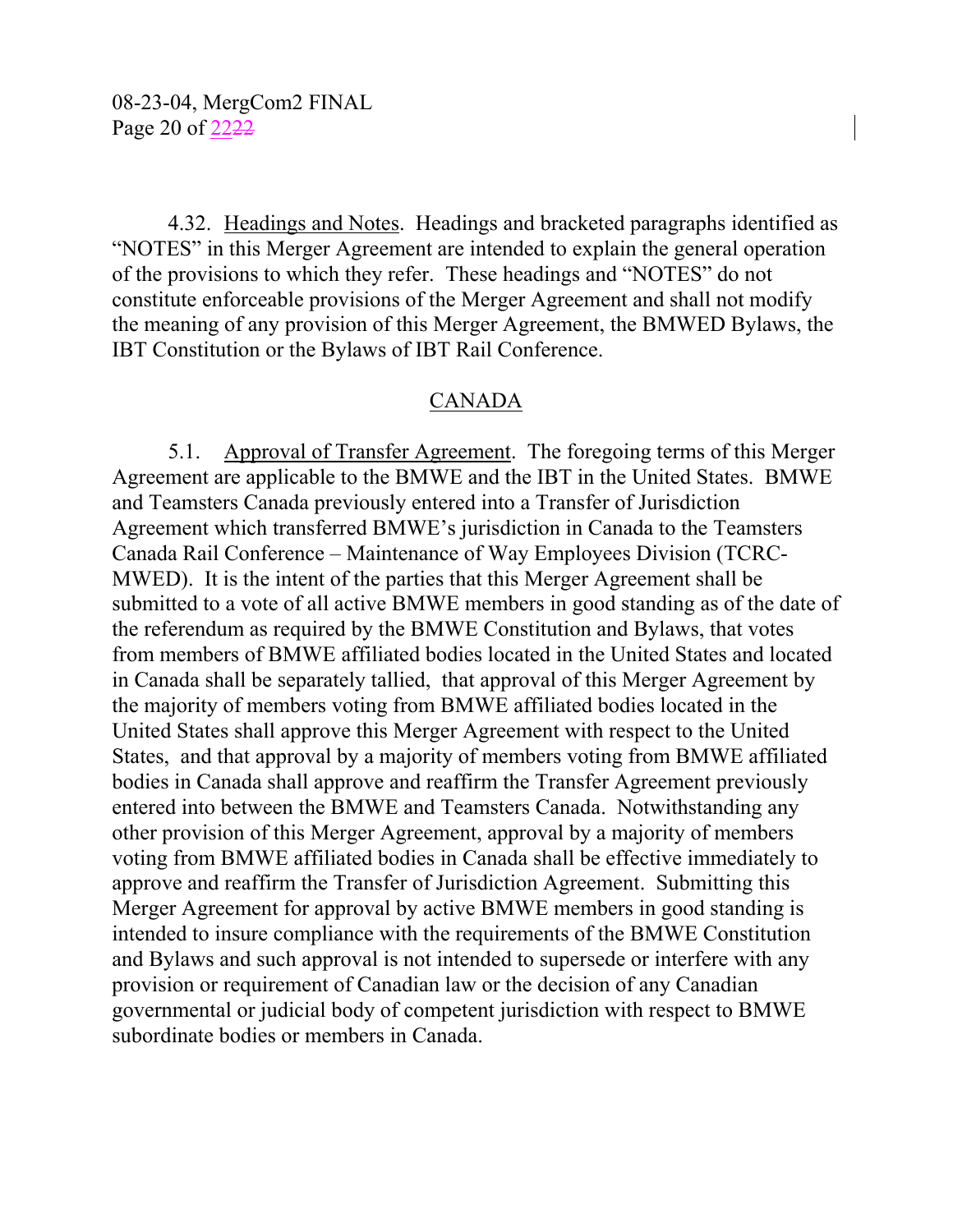4.32. Headings and Notes. Headings and bracketed paragraphs identified as "NOTES" in this Merger Agreement are intended to explain the general operation of the provisions to which they refer. These headings and "NOTES" do not constitute enforceable provisions of the Merger Agreement and shall not modify the meaning of any provision of this Merger Agreement, the BMWED Bylaws, the IBT Constitution or the Bylaws of IBT Rail Conference.

### CANADA

 5.1. Approval of Transfer Agreement. The foregoing terms of this Merger Agreement are applicable to the BMWE and the IBT in the United States. BMWE and Teamsters Canada previously entered into a Transfer of Jurisdiction Agreement which transferred BMWE's jurisdiction in Canada to the Teamsters Canada Rail Conference – Maintenance of Way Employees Division (TCRC-MWED). It is the intent of the parties that this Merger Agreement shall be submitted to a vote of all active BMWE members in good standing as of the date of the referendum as required by the BMWE Constitution and Bylaws, that votes from members of BMWE affiliated bodies located in the United States and located in Canada shall be separately tallied, that approval of this Merger Agreement by the majority of members voting from BMWE affiliated bodies located in the United States shall approve this Merger Agreement with respect to the United States, and that approval by a majority of members voting from BMWE affiliated bodies in Canada shall approve and reaffirm the Transfer Agreement previously entered into between the BMWE and Teamsters Canada. Notwithstanding any other provision of this Merger Agreement, approval by a majority of members voting from BMWE affiliated bodies in Canada shall be effective immediately to approve and reaffirm the Transfer of Jurisdiction Agreement. Submitting this Merger Agreement for approval by active BMWE members in good standing is intended to insure compliance with the requirements of the BMWE Constitution and Bylaws and such approval is not intended to supersede or interfere with any provision or requirement of Canadian law or the decision of any Canadian governmental or judicial body of competent jurisdiction with respect to BMWE subordinate bodies or members in Canada.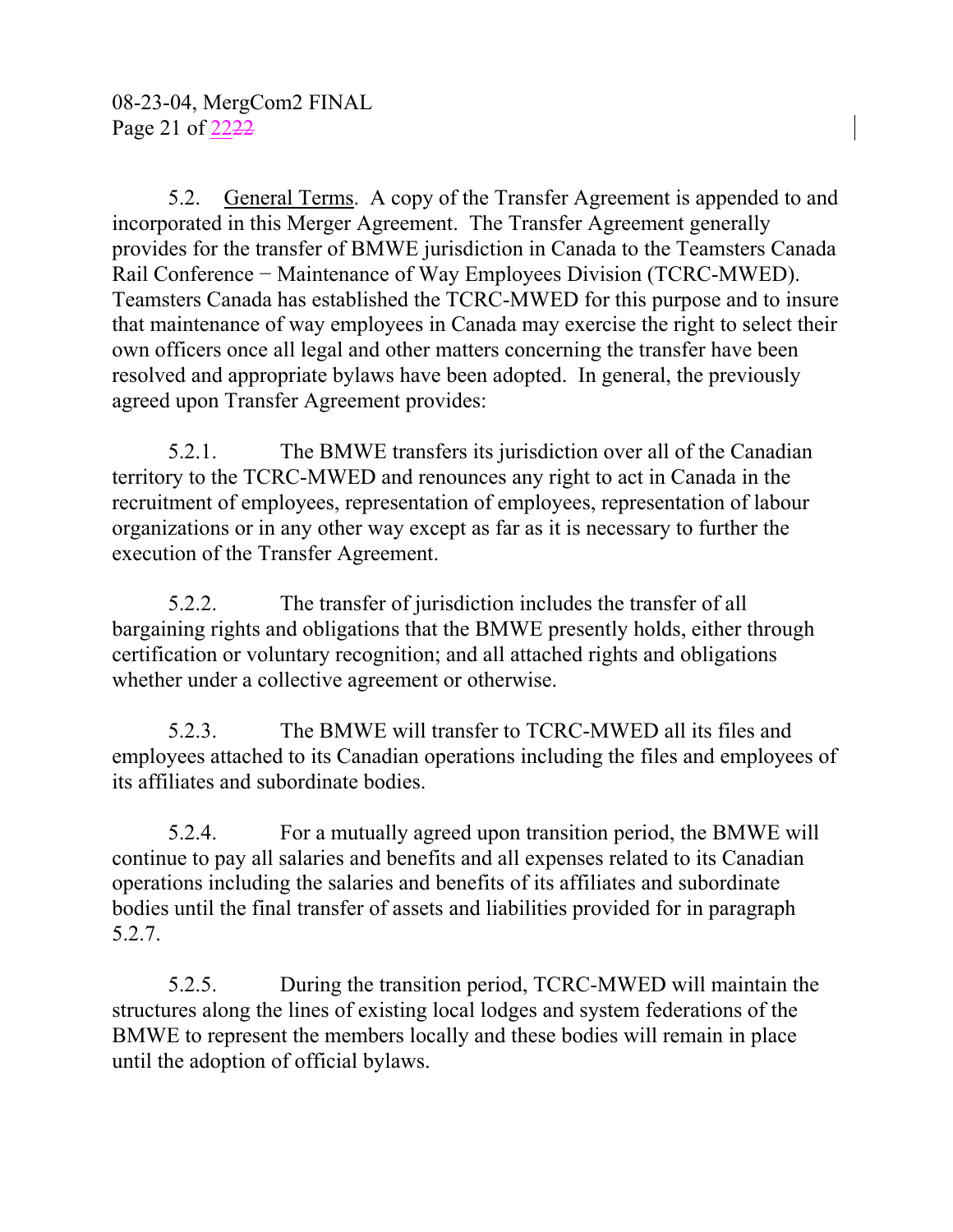5.2. General Terms. A copy of the Transfer Agreement is appended to and incorporated in this Merger Agreement. The Transfer Agreement generally provides for the transfer of BMWE jurisdiction in Canada to the Teamsters Canada Rail Conference − Maintenance of Way Employees Division (TCRC-MWED). Teamsters Canada has established the TCRC-MWED for this purpose and to insure that maintenance of way employees in Canada may exercise the right to select their own officers once all legal and other matters concerning the transfer have been resolved and appropriate bylaws have been adopted. In general, the previously agreed upon Transfer Agreement provides:

 5.2.1. The BMWE transfers its jurisdiction over all of the Canadian territory to the TCRC-MWED and renounces any right to act in Canada in the recruitment of employees, representation of employees, representation of labour organizations or in any other way except as far as it is necessary to further the execution of the Transfer Agreement.

 5.2.2. The transfer of jurisdiction includes the transfer of all bargaining rights and obligations that the BMWE presently holds, either through certification or voluntary recognition; and all attached rights and obligations whether under a collective agreement or otherwise.

 5.2.3. The BMWE will transfer to TCRC-MWED all its files and employees attached to its Canadian operations including the files and employees of its affiliates and subordinate bodies.

 5.2.4. For a mutually agreed upon transition period, the BMWE will continue to pay all salaries and benefits and all expenses related to its Canadian operations including the salaries and benefits of its affiliates and subordinate bodies until the final transfer of assets and liabilities provided for in paragraph 5.2.7.

 5.2.5. During the transition period, TCRC-MWED will maintain the structures along the lines of existing local lodges and system federations of the BMWE to represent the members locally and these bodies will remain in place until the adoption of official bylaws.